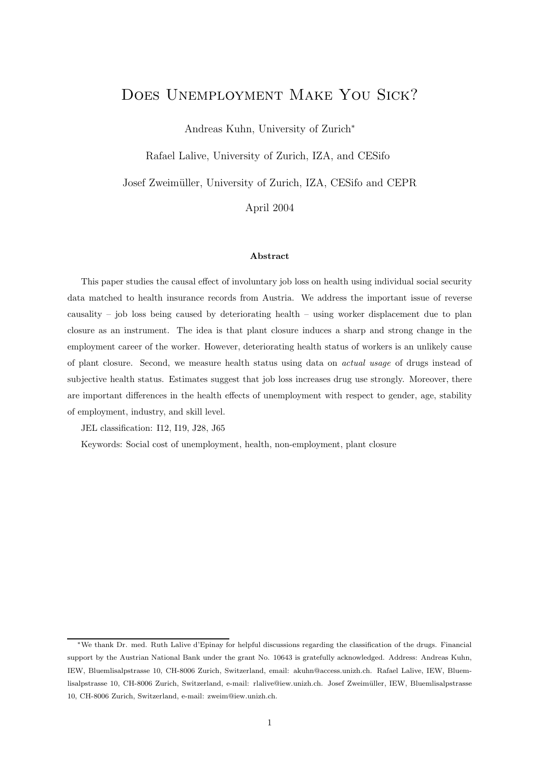# Does Unemployment Make You Sick?

Andreas Kuhn, University of Zurich<sup>∗</sup>

Rafael Lalive, University of Zurich, IZA, and CESifo

Josef Zweimüller, University of Zurich, IZA, CESifo and CEPR

April 2004

#### Abstract

This paper studies the causal effect of involuntary job loss on health using individual social security data matched to health insurance records from Austria. We address the important issue of reverse causality – job loss being caused by deteriorating health – using worker displacement due to plan closure as an instrument. The idea is that plant closure induces a sharp and strong change in the employment career of the worker. However, deteriorating health status of workers is an unlikely cause of plant closure. Second, we measure health status using data on actual usage of drugs instead of subjective health status. Estimates suggest that job loss increases drug use strongly. Moreover, there are important differences in the health effects of unemployment with respect to gender, age, stability of employment, industry, and skill level.

JEL classification: I12, I19, J28, J65

Keywords: Social cost of unemployment, health, non-employment, plant closure

<sup>∗</sup>We thank Dr. med. Ruth Lalive d'Epinay for helpful discussions regarding the classification of the drugs. Financial support by the Austrian National Bank under the grant No. 10643 is gratefully acknowledged. Address: Andreas Kuhn, IEW, Bluemlisalpstrasse 10, CH-8006 Zurich, Switzerland, email: akuhn@access.unizh.ch. Rafael Lalive, IEW, Bluemlisalpstrasse 10, CH-8006 Zurich, Switzerland, e-mail: rlalive@iew.unizh.ch. Josef Zweimüller, IEW, Bluemlisalpstrasse 10, CH-8006 Zurich, Switzerland, e-mail: zweim@iew.unizh.ch.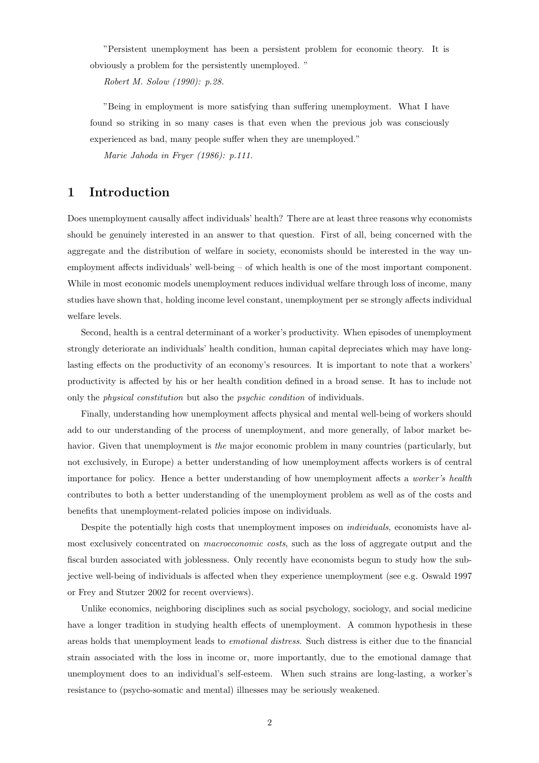"Persistent unemployment has been a persistent problem for economic theory. It is obviously a problem for the persistently unemployed. "

Robert M. Solow (1990): p.28.

"Being in employment is more satisfying than suffering unemployment. What I have found so striking in so many cases is that even when the previous job was consciously experienced as bad, many people suffer when they are unemployed."

Marie Jahoda in Fryer (1986): p.111.

# 1 Introduction

Does unemployment causally affect individuals' health? There are at least three reasons why economists should be genuinely interested in an answer to that question. First of all, being concerned with the aggregate and the distribution of welfare in society, economists should be interested in the way unemployment affects individuals' well-being – of which health is one of the most important component. While in most economic models unemployment reduces individual welfare through loss of income, many studies have shown that, holding income level constant, unemployment per se strongly affects individual welfare levels.

Second, health is a central determinant of a worker's productivity. When episodes of unemployment strongly deteriorate an individuals' health condition, human capital depreciates which may have longlasting effects on the productivity of an economy's resources. It is important to note that a workers' productivity is affected by his or her health condition defined in a broad sense. It has to include not only the physical constitution but also the psychic condition of individuals.

Finally, understanding how unemployment affects physical and mental well-being of workers should add to our understanding of the process of unemployment, and more generally, of labor market behavior. Given that unemployment is the major economic problem in many countries (particularly, but not exclusively, in Europe) a better understanding of how unemployment affects workers is of central importance for policy. Hence a better understanding of how unemployment affects a worker's health contributes to both a better understanding of the unemployment problem as well as of the costs and benefits that unemployment-related policies impose on individuals.

Despite the potentially high costs that unemployment imposes on *individuals*, economists have almost exclusively concentrated on macroeconomic costs, such as the loss of aggregate output and the fiscal burden associated with joblessness. Only recently have economists begun to study how the subjective well-being of individuals is affected when they experience unemployment (see e.g. Oswald 1997 or Frey and Stutzer 2002 for recent overviews).

Unlike economics, neighboring disciplines such as social psychology, sociology, and social medicine have a longer tradition in studying health effects of unemployment. A common hypothesis in these areas holds that unemployment leads to emotional distress. Such distress is either due to the financial strain associated with the loss in income or, more importantly, due to the emotional damage that unemployment does to an individual's self-esteem. When such strains are long-lasting, a worker's resistance to (psycho-somatic and mental) illnesses may be seriously weakened.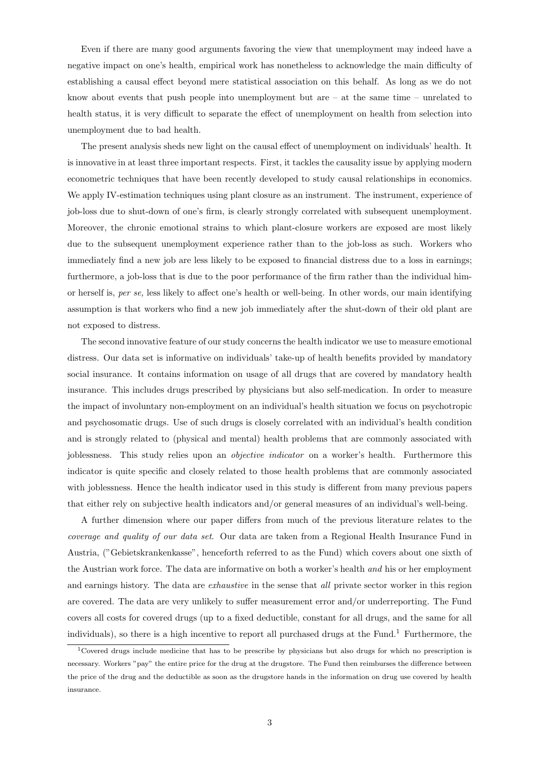Even if there are many good arguments favoring the view that unemployment may indeed have a negative impact on one's health, empirical work has nonetheless to acknowledge the main difficulty of establishing a causal effect beyond mere statistical association on this behalf. As long as we do not know about events that push people into unemployment but are  $-$  at the same time  $-$  unrelated to health status, it is very difficult to separate the effect of unemployment on health from selection into unemployment due to bad health.

The present analysis sheds new light on the causal effect of unemployment on individuals' health. It is innovative in at least three important respects. First, it tackles the causality issue by applying modern econometric techniques that have been recently developed to study causal relationships in economics. We apply IV-estimation techniques using plant closure as an instrument. The instrument, experience of job-loss due to shut-down of one's firm, is clearly strongly correlated with subsequent unemployment. Moreover, the chronic emotional strains to which plant-closure workers are exposed are most likely due to the subsequent unemployment experience rather than to the job-loss as such. Workers who immediately find a new job are less likely to be exposed to financial distress due to a loss in earnings; furthermore, a job-loss that is due to the poor performance of the firm rather than the individual himor herself is, per se, less likely to affect one's health or well-being. In other words, our main identifying assumption is that workers who find a new job immediately after the shut-down of their old plant are not exposed to distress.

The second innovative feature of our study concerns the health indicator we use to measure emotional distress. Our data set is informative on individuals' take-up of health benefits provided by mandatory social insurance. It contains information on usage of all drugs that are covered by mandatory health insurance. This includes drugs prescribed by physicians but also self-medication. In order to measure the impact of involuntary non-employment on an individual's health situation we focus on psychotropic and psychosomatic drugs. Use of such drugs is closely correlated with an individual's health condition and is strongly related to (physical and mental) health problems that are commonly associated with joblessness. This study relies upon an objective indicator on a worker's health. Furthermore this indicator is quite specific and closely related to those health problems that are commonly associated with joblessness. Hence the health indicator used in this study is different from many previous papers that either rely on subjective health indicators and/or general measures of an individual's well-being.

A further dimension where our paper differs from much of the previous literature relates to the coverage and quality of our data set. Our data are taken from a Regional Health Insurance Fund in Austria, ("Gebietskrankenkasse", henceforth referred to as the Fund) which covers about one sixth of the Austrian work force. The data are informative on both a worker's health and his or her employment and earnings history. The data are *exhaustive* in the sense that *all* private sector worker in this region are covered. The data are very unlikely to suffer measurement error and/or underreporting. The Fund covers all costs for covered drugs (up to a fixed deductible, constant for all drugs, and the same for all individuals), so there is a high incentive to report all purchased drugs at the Fund.<sup>1</sup> Furthermore, the

<sup>&</sup>lt;sup>1</sup>Covered drugs include medicine that has to be prescribe by physicians but also drugs for which no prescription is necessary. Workers "pay" the entire price for the drug at the drugstore. The Fund then reimburses the difference between the price of the drug and the deductible as soon as the drugstore hands in the information on drug use covered by health insurance.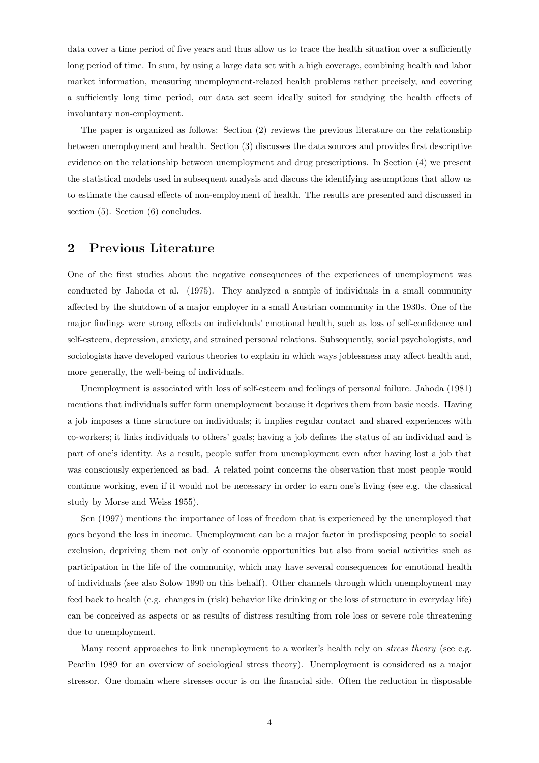data cover a time period of five years and thus allow us to trace the health situation over a sufficiently long period of time. In sum, by using a large data set with a high coverage, combining health and labor market information, measuring unemployment-related health problems rather precisely, and covering a sufficiently long time period, our data set seem ideally suited for studying the health effects of involuntary non-employment.

The paper is organized as follows: Section (2) reviews the previous literature on the relationship between unemployment and health. Section (3) discusses the data sources and provides first descriptive evidence on the relationship between unemployment and drug prescriptions. In Section (4) we present the statistical models used in subsequent analysis and discuss the identifying assumptions that allow us to estimate the causal effects of non-employment of health. The results are presented and discussed in section (5). Section (6) concludes.

# 2 Previous Literature

One of the first studies about the negative consequences of the experiences of unemployment was conducted by Jahoda et al. (1975). They analyzed a sample of individuals in a small community affected by the shutdown of a major employer in a small Austrian community in the 1930s. One of the major findings were strong effects on individuals' emotional health, such as loss of self-confidence and self-esteem, depression, anxiety, and strained personal relations. Subsequently, social psychologists, and sociologists have developed various theories to explain in which ways joblessness may affect health and, more generally, the well-being of individuals.

Unemployment is associated with loss of self-esteem and feelings of personal failure. Jahoda (1981) mentions that individuals suffer form unemployment because it deprives them from basic needs. Having a job imposes a time structure on individuals; it implies regular contact and shared experiences with co-workers; it links individuals to others' goals; having a job defines the status of an individual and is part of one's identity. As a result, people suffer from unemployment even after having lost a job that was consciously experienced as bad. A related point concerns the observation that most people would continue working, even if it would not be necessary in order to earn one's living (see e.g. the classical study by Morse and Weiss 1955).

Sen (1997) mentions the importance of loss of freedom that is experienced by the unemployed that goes beyond the loss in income. Unemployment can be a major factor in predisposing people to social exclusion, depriving them not only of economic opportunities but also from social activities such as participation in the life of the community, which may have several consequences for emotional health of individuals (see also Solow 1990 on this behalf). Other channels through which unemployment may feed back to health (e.g. changes in (risk) behavior like drinking or the loss of structure in everyday life) can be conceived as aspects or as results of distress resulting from role loss or severe role threatening due to unemployment.

Many recent approaches to link unemployment to a worker's health rely on *stress theory* (see e.g. Pearlin 1989 for an overview of sociological stress theory). Unemployment is considered as a major stressor. One domain where stresses occur is on the financial side. Often the reduction in disposable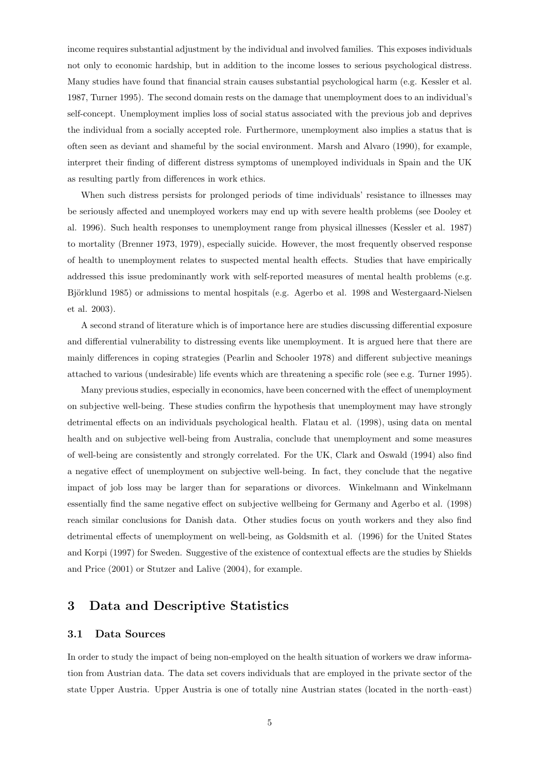income requires substantial adjustment by the individual and involved families. This exposes individuals not only to economic hardship, but in addition to the income losses to serious psychological distress. Many studies have found that financial strain causes substantial psychological harm (e.g. Kessler et al. 1987, Turner 1995). The second domain rests on the damage that unemployment does to an individual's self-concept. Unemployment implies loss of social status associated with the previous job and deprives the individual from a socially accepted role. Furthermore, unemployment also implies a status that is often seen as deviant and shameful by the social environment. Marsh and Alvaro (1990), for example, interpret their finding of different distress symptoms of unemployed individuals in Spain and the UK as resulting partly from differences in work ethics.

When such distress persists for prolonged periods of time individuals' resistance to illnesses may be seriously affected and unemployed workers may end up with severe health problems (see Dooley et al. 1996). Such health responses to unemployment range from physical illnesses (Kessler et al. 1987) to mortality (Brenner 1973, 1979), especially suicide. However, the most frequently observed response of health to unemployment relates to suspected mental health effects. Studies that have empirically addressed this issue predominantly work with self-reported measures of mental health problems (e.g. Björklund 1985) or admissions to mental hospitals (e.g. Agerbo et al. 1998 and Westergaard-Nielsen et al. 2003).

A second strand of literature which is of importance here are studies discussing differential exposure and differential vulnerability to distressing events like unemployment. It is argued here that there are mainly differences in coping strategies (Pearlin and Schooler 1978) and different subjective meanings attached to various (undesirable) life events which are threatening a specific role (see e.g. Turner 1995).

Many previous studies, especially in economics, have been concerned with the effect of unemployment on subjective well-being. These studies confirm the hypothesis that unemployment may have strongly detrimental effects on an individuals psychological health. Flatau et al. (1998), using data on mental health and on subjective well-being from Australia, conclude that unemployment and some measures of well-being are consistently and strongly correlated. For the UK, Clark and Oswald (1994) also find a negative effect of unemployment on subjective well-being. In fact, they conclude that the negative impact of job loss may be larger than for separations or divorces. Winkelmann and Winkelmann essentially find the same negative effect on subjective wellbeing for Germany and Agerbo et al. (1998) reach similar conclusions for Danish data. Other studies focus on youth workers and they also find detrimental effects of unemployment on well-being, as Goldsmith et al. (1996) for the United States and Korpi (1997) for Sweden. Suggestive of the existence of contextual effects are the studies by Shields and Price (2001) or Stutzer and Lalive (2004), for example.

# 3 Data and Descriptive Statistics

### 3.1 Data Sources

In order to study the impact of being non-employed on the health situation of workers we draw information from Austrian data. The data set covers individuals that are employed in the private sector of the state Upper Austria. Upper Austria is one of totally nine Austrian states (located in the north–east)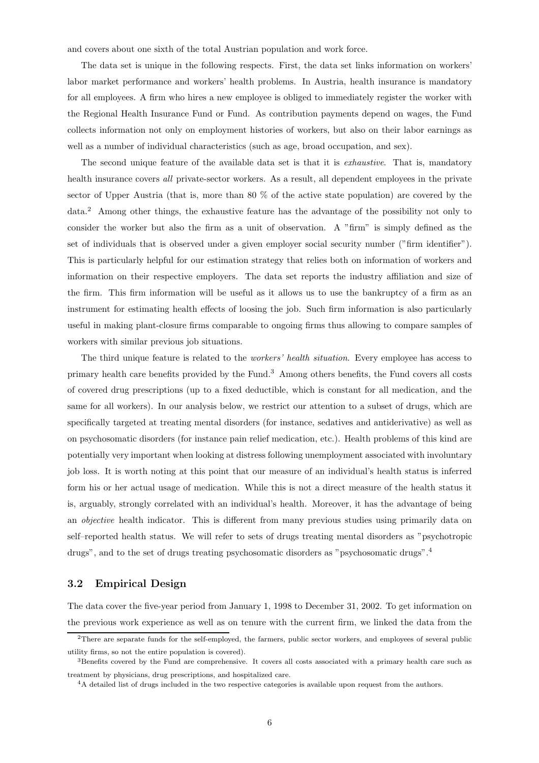and covers about one sixth of the total Austrian population and work force.

The data set is unique in the following respects. First, the data set links information on workers' labor market performance and workers' health problems. In Austria, health insurance is mandatory for all employees. A firm who hires a new employee is obliged to immediately register the worker with the Regional Health Insurance Fund or Fund. As contribution payments depend on wages, the Fund collects information not only on employment histories of workers, but also on their labor earnings as well as a number of individual characteristics (such as age, broad occupation, and sex).

The second unique feature of the available data set is that it is *exhaustive*. That is, mandatory health insurance covers all private-sector workers. As a result, all dependent employees in the private sector of Upper Austria (that is, more than 80 % of the active state population) are covered by the data.<sup>2</sup> Among other things, the exhaustive feature has the advantage of the possibility not only to consider the worker but also the firm as a unit of observation. A "firm" is simply defined as the set of individuals that is observed under a given employer social security number ("firm identifier"). This is particularly helpful for our estimation strategy that relies both on information of workers and information on their respective employers. The data set reports the industry affiliation and size of the firm. This firm information will be useful as it allows us to use the bankruptcy of a firm as an instrument for estimating health effects of loosing the job. Such firm information is also particularly useful in making plant-closure firms comparable to ongoing firms thus allowing to compare samples of workers with similar previous job situations.

The third unique feature is related to the workers' health situation. Every employee has access to primary health care benefits provided by the Fund.<sup>3</sup> Among others benefits, the Fund covers all costs of covered drug prescriptions (up to a fixed deductible, which is constant for all medication, and the same for all workers). In our analysis below, we restrict our attention to a subset of drugs, which are specifically targeted at treating mental disorders (for instance, sedatives and antiderivative) as well as on psychosomatic disorders (for instance pain relief medication, etc.). Health problems of this kind are potentially very important when looking at distress following unemployment associated with involuntary job loss. It is worth noting at this point that our measure of an individual's health status is inferred form his or her actual usage of medication. While this is not a direct measure of the health status it is, arguably, strongly correlated with an individual's health. Moreover, it has the advantage of being an *objective* health indicator. This is different from many previous studies using primarily data on self–reported health status. We will refer to sets of drugs treating mental disorders as "psychotropic drugs", and to the set of drugs treating psychosomatic disorders as "psychosomatic drugs".<sup>4</sup>

### 3.2 Empirical Design

The data cover the five-year period from January 1, 1998 to December 31, 2002. To get information on the previous work experience as well as on tenure with the current firm, we linked the data from the

<sup>&</sup>lt;sup>2</sup>There are separate funds for the self-employed, the farmers, public sector workers, and employees of several public utility firms, so not the entire population is covered).

<sup>3</sup>Benefits covered by the Fund are comprehensive. It covers all costs associated with a primary health care such as treatment by physicians, drug prescriptions, and hospitalized care.

<sup>&</sup>lt;sup>4</sup>A detailed list of drugs included in the two respective categories is available upon request from the authors.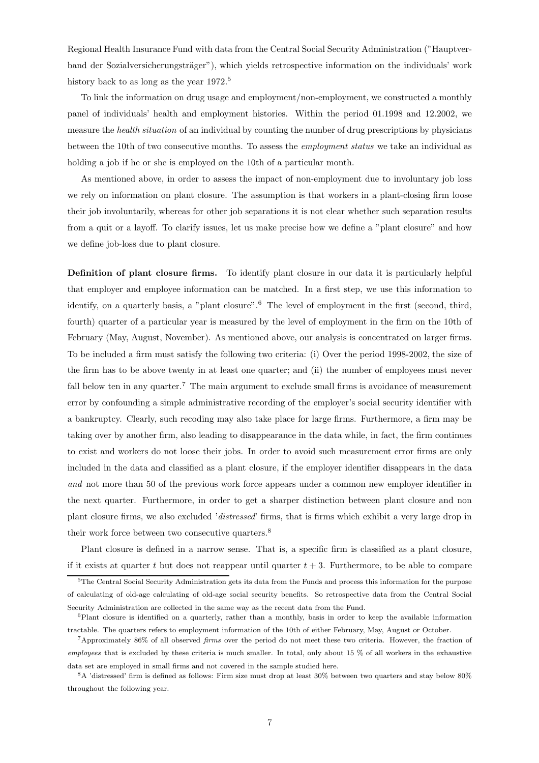Regional Health Insurance Fund with data from the Central Social Security Administration ("Hauptverband der Sozialversicherungsträger"), which yields retrospective information on the individuals' work history back to as long as the year 1972.<sup>5</sup>

To link the information on drug usage and employment/non-employment, we constructed a monthly panel of individuals' health and employment histories. Within the period 01.1998 and 12.2002, we measure the health situation of an individual by counting the number of drug prescriptions by physicians between the 10th of two consecutive months. To assess the employment status we take an individual as holding a job if he or she is employed on the 10th of a particular month.

As mentioned above, in order to assess the impact of non-employment due to involuntary job loss we rely on information on plant closure. The assumption is that workers in a plant-closing firm loose their job involuntarily, whereas for other job separations it is not clear whether such separation results from a quit or a layoff. To clarify issues, let us make precise how we define a "plant closure" and how we define job-loss due to plant closure.

Definition of plant closure firms. To identify plant closure in our data it is particularly helpful that employer and employee information can be matched. In a first step, we use this information to identify, on a quarterly basis, a "plant closure".<sup>6</sup> The level of employment in the first (second, third, fourth) quarter of a particular year is measured by the level of employment in the firm on the 10th of February (May, August, November). As mentioned above, our analysis is concentrated on larger firms. To be included a firm must satisfy the following two criteria: (i) Over the period 1998-2002, the size of the firm has to be above twenty in at least one quarter; and (ii) the number of employees must never fall below ten in any quarter.<sup>7</sup> The main argument to exclude small firms is avoidance of measurement error by confounding a simple administrative recording of the employer's social security identifier with a bankruptcy. Clearly, such recoding may also take place for large firms. Furthermore, a firm may be taking over by another firm, also leading to disappearance in the data while, in fact, the firm continues to exist and workers do not loose their jobs. In order to avoid such measurement error firms are only included in the data and classified as a plant closure, if the employer identifier disappears in the data and not more than 50 of the previous work force appears under a common new employer identifier in the next quarter. Furthermore, in order to get a sharper distinction between plant closure and non plant closure firms, we also excluded 'distressed' firms, that is firms which exhibit a very large drop in their work force between two consecutive quarters.<sup>8</sup>

Plant closure is defined in a narrow sense. That is, a specific firm is classified as a plant closure, if it exists at quarter t but does not reappear until quarter  $t + 3$ . Furthermore, to be able to compare

<sup>5</sup>The Central Social Security Administration gets its data from the Funds and process this information for the purpose of calculating of old-age calculating of old-age social security benefits. So retrospective data from the Central Social Security Administration are collected in the same way as the recent data from the Fund.

 $6$ Plant closure is identified on a quarterly, rather than a monthly, basis in order to keep the available information tractable. The quarters refers to employment information of the 10th of either February, May, August or October.

<sup>7</sup>Approximately 86% of all observed firms over the period do not meet these two criteria. However, the fraction of employees that is excluded by these criteria is much smaller. In total, only about 15 % of all workers in the exhaustive data set are employed in small firms and not covered in the sample studied here.

<sup>8</sup>A 'distressed' firm is defined as follows: Firm size must drop at least 30% between two quarters and stay below 80% throughout the following year.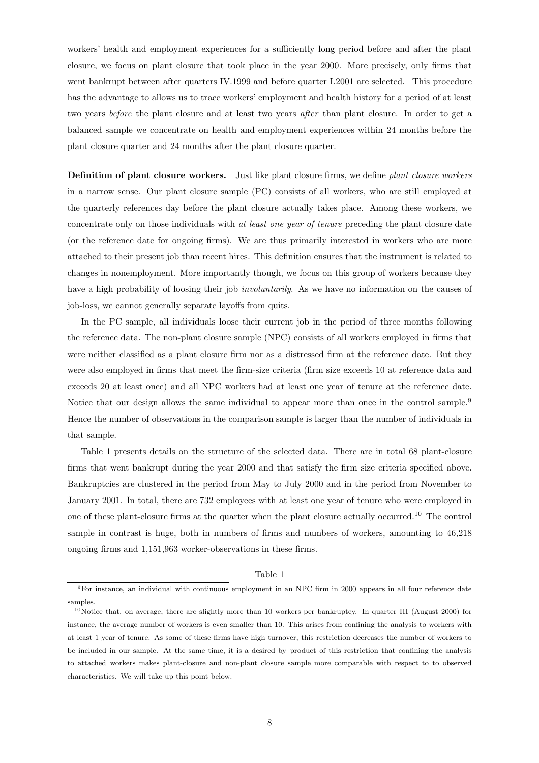workers' health and employment experiences for a sufficiently long period before and after the plant closure, we focus on plant closure that took place in the year 2000. More precisely, only firms that went bankrupt between after quarters IV.1999 and before quarter I.2001 are selected. This procedure has the advantage to allows us to trace workers' employment and health history for a period of at least two years before the plant closure and at least two years after than plant closure. In order to get a balanced sample we concentrate on health and employment experiences within 24 months before the plant closure quarter and 24 months after the plant closure quarter.

Definition of plant closure workers. Just like plant closure firms, we define plant closure workers in a narrow sense. Our plant closure sample (PC) consists of all workers, who are still employed at the quarterly references day before the plant closure actually takes place. Among these workers, we concentrate only on those individuals with at least one year of tenure preceding the plant closure date (or the reference date for ongoing firms). We are thus primarily interested in workers who are more attached to their present job than recent hires. This definition ensures that the instrument is related to changes in nonemployment. More importantly though, we focus on this group of workers because they have a high probability of loosing their job *involuntarily*. As we have no information on the causes of job-loss, we cannot generally separate layoffs from quits.

In the PC sample, all individuals loose their current job in the period of three months following the reference data. The non-plant closure sample (NPC) consists of all workers employed in firms that were neither classified as a plant closure firm nor as a distressed firm at the reference date. But they were also employed in firms that meet the firm-size criteria (firm size exceeds 10 at reference data and exceeds 20 at least once) and all NPC workers had at least one year of tenure at the reference date. Notice that our design allows the same individual to appear more than once in the control sample.<sup>9</sup> Hence the number of observations in the comparison sample is larger than the number of individuals in that sample.

Table 1 presents details on the structure of the selected data. There are in total 68 plant-closure firms that went bankrupt during the year 2000 and that satisfy the firm size criteria specified above. Bankruptcies are clustered in the period from May to July 2000 and in the period from November to January 2001. In total, there are 732 employees with at least one year of tenure who were employed in one of these plant-closure firms at the quarter when the plant closure actually occurred.<sup>10</sup> The control sample in contrast is huge, both in numbers of firms and numbers of workers, amounting to 46,218 ongoing firms and 1,151,963 worker-observations in these firms.

#### Table 1

 $^9\rm{For}$  instance, an individual with continuous employment in an NPC firm in 2000 appears in all four reference date samples.

<sup>10</sup>Notice that, on average, there are slightly more than 10 workers per bankruptcy. In quarter III (August 2000) for instance, the average number of workers is even smaller than 10. This arises from confining the analysis to workers with at least 1 year of tenure. As some of these firms have high turnover, this restriction decreases the number of workers to be included in our sample. At the same time, it is a desired by–product of this restriction that confining the analysis to attached workers makes plant-closure and non-plant closure sample more comparable with respect to to observed characteristics. We will take up this point below.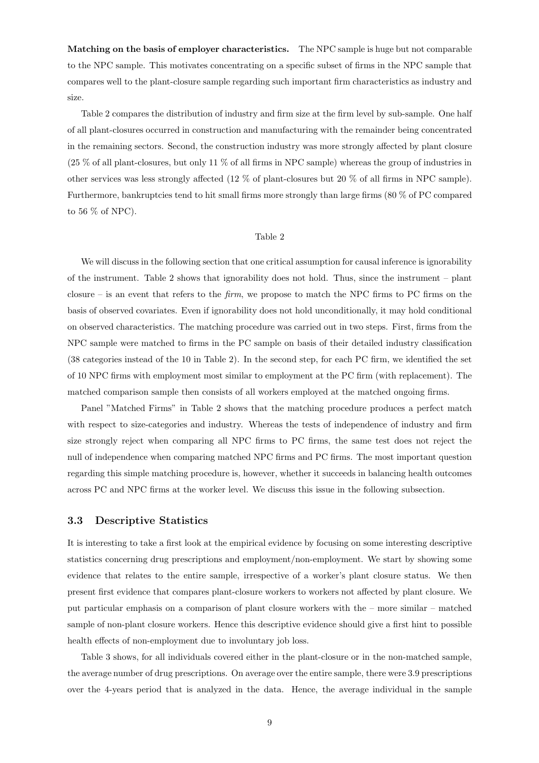Matching on the basis of employer characteristics. The NPC sample is huge but not comparable to the NPC sample. This motivates concentrating on a specific subset of firms in the NPC sample that compares well to the plant-closure sample regarding such important firm characteristics as industry and size.

Table 2 compares the distribution of industry and firm size at the firm level by sub-sample. One half of all plant-closures occurred in construction and manufacturing with the remainder being concentrated in the remaining sectors. Second, the construction industry was more strongly affected by plant closure (25 % of all plant-closures, but only 11 % of all firms in NPC sample) whereas the group of industries in other services was less strongly affected (12 % of plant-closures but 20 % of all firms in NPC sample). Furthermore, bankruptcies tend to hit small firms more strongly than large firms (80 % of PC compared to 56 % of NPC).

#### Table 2

We will discuss in the following section that one critical assumption for causal inference is ignorability of the instrument. Table 2 shows that ignorability does not hold. Thus, since the instrument – plant closure – is an event that refers to the *firm*, we propose to match the NPC firms to PC firms on the basis of observed covariates. Even if ignorability does not hold unconditionally, it may hold conditional on observed characteristics. The matching procedure was carried out in two steps. First, firms from the NPC sample were matched to firms in the PC sample on basis of their detailed industry classification (38 categories instead of the 10 in Table 2). In the second step, for each PC firm, we identified the set of 10 NPC firms with employment most similar to employment at the PC firm (with replacement). The matched comparison sample then consists of all workers employed at the matched ongoing firms.

Panel "Matched Firms" in Table 2 shows that the matching procedure produces a perfect match with respect to size-categories and industry. Whereas the tests of independence of industry and firm size strongly reject when comparing all NPC firms to PC firms, the same test does not reject the null of independence when comparing matched NPC firms and PC firms. The most important question regarding this simple matching procedure is, however, whether it succeeds in balancing health outcomes across PC and NPC firms at the worker level. We discuss this issue in the following subsection.

### 3.3 Descriptive Statistics

It is interesting to take a first look at the empirical evidence by focusing on some interesting descriptive statistics concerning drug prescriptions and employment/non-employment. We start by showing some evidence that relates to the entire sample, irrespective of a worker's plant closure status. We then present first evidence that compares plant-closure workers to workers not affected by plant closure. We put particular emphasis on a comparison of plant closure workers with the – more similar – matched sample of non-plant closure workers. Hence this descriptive evidence should give a first hint to possible health effects of non-employment due to involuntary job loss.

Table 3 shows, for all individuals covered either in the plant-closure or in the non-matched sample, the average number of drug prescriptions. On average over the entire sample, there were 3.9 prescriptions over the 4-years period that is analyzed in the data. Hence, the average individual in the sample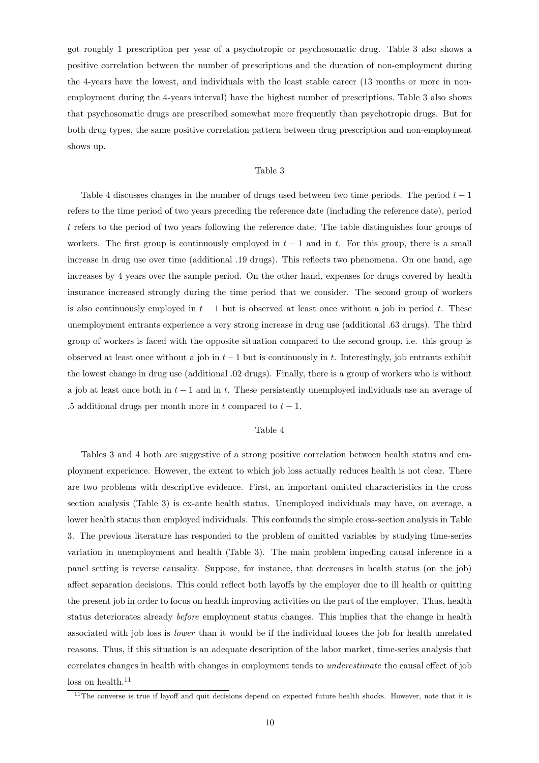got roughly 1 prescription per year of a psychotropic or psychosomatic drug. Table 3 also shows a positive correlation between the number of prescriptions and the duration of non-employment during the 4-years have the lowest, and individuals with the least stable career (13 months or more in nonemployment during the 4-years interval) have the highest number of prescriptions. Table 3 also shows that psychosomatic drugs are prescribed somewhat more frequently than psychotropic drugs. But for both drug types, the same positive correlation pattern between drug prescription and non-employment shows up.

#### Table 3

Table 4 discusses changes in the number of drugs used between two time periods. The period  $t-1$ refers to the time period of two years preceding the reference date (including the reference date), period t refers to the period of two years following the reference date. The table distinguishes four groups of workers. The first group is continuously employed in  $t - 1$  and in t. For this group, there is a small increase in drug use over time (additional .19 drugs). This reflects two phenomena. On one hand, age increases by 4 years over the sample period. On the other hand, expenses for drugs covered by health insurance increased strongly during the time period that we consider. The second group of workers is also continuously employed in  $t - 1$  but is observed at least once without a job in period t. These unemployment entrants experience a very strong increase in drug use (additional .63 drugs). The third group of workers is faced with the opposite situation compared to the second group, i.e. this group is observed at least once without a job in  $t-1$  but is continuously in t. Interestingly, job entrants exhibit the lowest change in drug use (additional .02 drugs). Finally, there is a group of workers who is without a job at least once both in  $t - 1$  and in t. These persistently unemployed individuals use an average of .5 additional drugs per month more in t compared to  $t - 1$ .

### Table 4

Tables 3 and 4 both are suggestive of a strong positive correlation between health status and employment experience. However, the extent to which job loss actually reduces health is not clear. There are two problems with descriptive evidence. First, an important omitted characteristics in the cross section analysis (Table 3) is ex-ante health status. Unemployed individuals may have, on average, a lower health status than employed individuals. This confounds the simple cross-section analysis in Table 3. The previous literature has responded to the problem of omitted variables by studying time-series variation in unemployment and health (Table 3). The main problem impeding causal inference in a panel setting is reverse causality. Suppose, for instance, that decreases in health status (on the job) affect separation decisions. This could reflect both layoffs by the employer due to ill health or quitting the present job in order to focus on health improving activities on the part of the employer. Thus, health status deteriorates already before employment status changes. This implies that the change in health associated with job loss is lower than it would be if the individual looses the job for health unrelated reasons. Thus, if this situation is an adequate description of the labor market, time-series analysis that correlates changes in health with changes in employment tends to underestimate the causal effect of job  $\log$  on health.<sup>11</sup>

 $11$ The converse is true if layoff and quit decisions depend on expected future health shocks. However, note that it is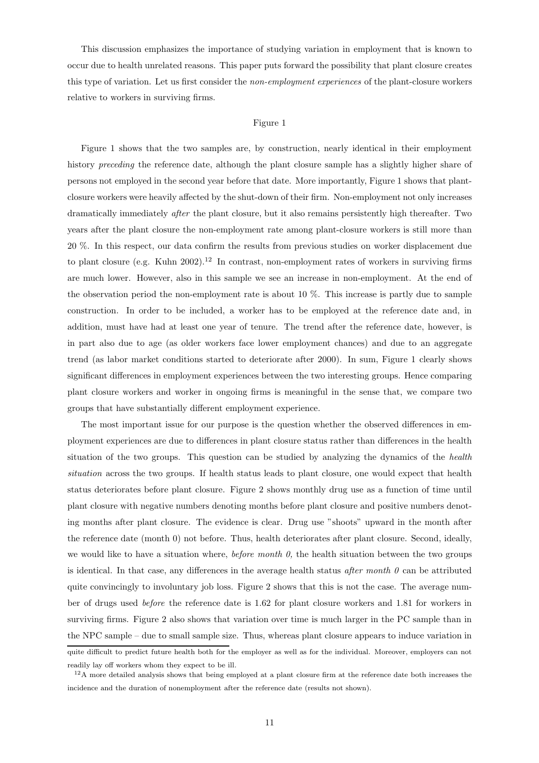This discussion emphasizes the importance of studying variation in employment that is known to occur due to health unrelated reasons. This paper puts forward the possibility that plant closure creates this type of variation. Let us first consider the non-employment experiences of the plant-closure workers relative to workers in surviving firms.

#### Figure 1

Figure 1 shows that the two samples are, by construction, nearly identical in their employment history *preceding* the reference date, although the plant closure sample has a slightly higher share of persons not employed in the second year before that date. More importantly, Figure 1 shows that plantclosure workers were heavily affected by the shut-down of their firm. Non-employment not only increases dramatically immediately after the plant closure, but it also remains persistently high thereafter. Two years after the plant closure the non-employment rate among plant-closure workers is still more than 20 %. In this respect, our data confirm the results from previous studies on worker displacement due to plant closure (e.g. Kuhn  $2002$ ).<sup>12</sup> In contrast, non-employment rates of workers in surviving firms are much lower. However, also in this sample we see an increase in non-employment. At the end of the observation period the non-employment rate is about 10 %. This increase is partly due to sample construction. In order to be included, a worker has to be employed at the reference date and, in addition, must have had at least one year of tenure. The trend after the reference date, however, is in part also due to age (as older workers face lower employment chances) and due to an aggregate trend (as labor market conditions started to deteriorate after 2000). In sum, Figure 1 clearly shows significant differences in employment experiences between the two interesting groups. Hence comparing plant closure workers and worker in ongoing firms is meaningful in the sense that, we compare two groups that have substantially different employment experience.

The most important issue for our purpose is the question whether the observed differences in employment experiences are due to differences in plant closure status rather than differences in the health situation of the two groups. This question can be studied by analyzing the dynamics of the health situation across the two groups. If health status leads to plant closure, one would expect that health status deteriorates before plant closure. Figure 2 shows monthly drug use as a function of time until plant closure with negative numbers denoting months before plant closure and positive numbers denoting months after plant closure. The evidence is clear. Drug use "shoots" upward in the month after the reference date (month 0) not before. Thus, health deteriorates after plant closure. Second, ideally, we would like to have a situation where, *before month 0*, the health situation between the two groups is identical. In that case, any differences in the average health status after month  $\theta$  can be attributed quite convincingly to involuntary job loss. Figure 2 shows that this is not the case. The average number of drugs used before the reference date is 1.62 for plant closure workers and 1.81 for workers in surviving firms. Figure 2 also shows that variation over time is much larger in the PC sample than in the NPC sample – due to small sample size. Thus, whereas plant closure appears to induce variation in quite difficult to predict future health both for the employer as well as for the individual. Moreover, employers can not readily lay off workers whom they expect to be ill.

<sup>&</sup>lt;sup>12</sup>A more detailed analysis shows that being employed at a plant closure firm at the reference date both increases the incidence and the duration of nonemployment after the reference date (results not shown).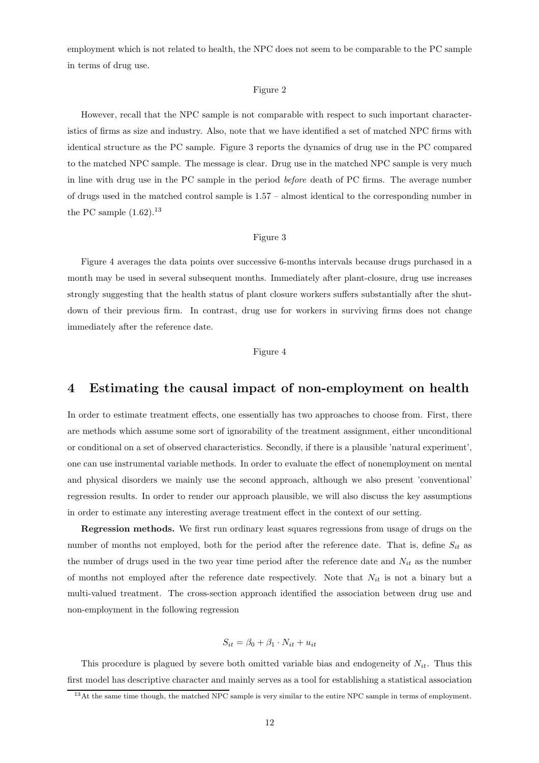employment which is not related to health, the NPC does not seem to be comparable to the PC sample in terms of drug use.

#### Figure 2

However, recall that the NPC sample is not comparable with respect to such important characteristics of firms as size and industry. Also, note that we have identified a set of matched NPC firms with identical structure as the PC sample. Figure 3 reports the dynamics of drug use in the PC compared to the matched NPC sample. The message is clear. Drug use in the matched NPC sample is very much in line with drug use in the PC sample in the period before death of PC firms. The average number of drugs used in the matched control sample is 1.57 – almost identical to the corresponding number in the PC sample  $(1.62).^{13}$ 

### Figure 3

Figure 4 averages the data points over successive 6-months intervals because drugs purchased in a month may be used in several subsequent months. Immediately after plant-closure, drug use increases strongly suggesting that the health status of plant closure workers suffers substantially after the shutdown of their previous firm. In contrast, drug use for workers in surviving firms does not change immediately after the reference date.

#### Figure 4

## 4 Estimating the causal impact of non-employment on health

In order to estimate treatment effects, one essentially has two approaches to choose from. First, there are methods which assume some sort of ignorability of the treatment assignment, either unconditional or conditional on a set of observed characteristics. Secondly, if there is a plausible 'natural experiment', one can use instrumental variable methods. In order to evaluate the effect of nonemployment on mental and physical disorders we mainly use the second approach, although we also present 'conventional' regression results. In order to render our approach plausible, we will also discuss the key assumptions in order to estimate any interesting average treatment effect in the context of our setting.

Regression methods. We first run ordinary least squares regressions from usage of drugs on the number of months not employed, both for the period after the reference date. That is, define  $S_{it}$  as the number of drugs used in the two year time period after the reference date and  $N_{it}$  as the number of months not employed after the reference date respectively. Note that  $N_{it}$  is not a binary but a multi-valued treatment. The cross-section approach identified the association between drug use and non-employment in the following regression

$$
S_{it} = \beta_0 + \beta_1 \cdot N_{it} + u_{it}
$$

This procedure is plagued by severe both omitted variable bias and endogeneity of  $N_{it}$ . Thus this first model has descriptive character and mainly serves as a tool for establishing a statistical association

<sup>&</sup>lt;sup>13</sup>At the same time though, the matched NPC sample is very similar to the entire NPC sample in terms of employment.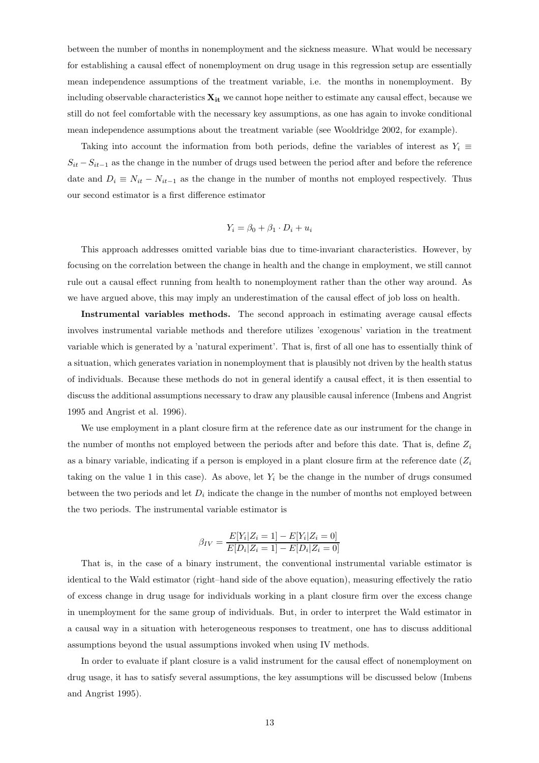between the number of months in nonemployment and the sickness measure. What would be necessary for establishing a causal effect of nonemployment on drug usage in this regression setup are essentially mean independence assumptions of the treatment variable, i.e. the months in nonemployment. By including observable characteristics  $X_{it}$  we cannot hope neither to estimate any causal effect, because we still do not feel comfortable with the necessary key assumptions, as one has again to invoke conditional mean independence assumptions about the treatment variable (see Wooldridge 2002, for example).

Taking into account the information from both periods, define the variables of interest as  $Y_i \equiv$  $S_{it} - S_{it-1}$  as the change in the number of drugs used between the period after and before the reference date and  $D_i \equiv N_{it} - N_{it-1}$  as the change in the number of months not employed respectively. Thus our second estimator is a first difference estimator

$$
Y_i = \beta_0 + \beta_1 \cdot D_i + u_i
$$

This approach addresses omitted variable bias due to time-invariant characteristics. However, by focusing on the correlation between the change in health and the change in employment, we still cannot rule out a causal effect running from health to nonemployment rather than the other way around. As we have argued above, this may imply an underestimation of the causal effect of job loss on health.

Instrumental variables methods. The second approach in estimating average causal effects involves instrumental variable methods and therefore utilizes 'exogenous' variation in the treatment variable which is generated by a 'natural experiment'. That is, first of all one has to essentially think of a situation, which generates variation in nonemployment that is plausibly not driven by the health status of individuals. Because these methods do not in general identify a causal effect, it is then essential to discuss the additional assumptions necessary to draw any plausible causal inference (Imbens and Angrist 1995 and Angrist et al. 1996).

We use employment in a plant closure firm at the reference date as our instrument for the change in the number of months not employed between the periods after and before this date. That is, define  $Z_i$ as a binary variable, indicating if a person is employed in a plant closure firm at the reference date  $(Z_i)$ taking on the value 1 in this case). As above, let  $Y_i$  be the change in the number of drugs consumed between the two periods and let  $D_i$  indicate the change in the number of months not employed between the two periods. The instrumental variable estimator is

$$
\beta_{IV} = \frac{E[Y_i | Z_i = 1] - E[Y_i | Z_i = 0]}{E[D_i | Z_i = 1] - E[D_i | Z_i = 0]}
$$

That is, in the case of a binary instrument, the conventional instrumental variable estimator is identical to the Wald estimator (right–hand side of the above equation), measuring effectively the ratio of excess change in drug usage for individuals working in a plant closure firm over the excess change in unemployment for the same group of individuals. But, in order to interpret the Wald estimator in a causal way in a situation with heterogeneous responses to treatment, one has to discuss additional assumptions beyond the usual assumptions invoked when using IV methods.

In order to evaluate if plant closure is a valid instrument for the causal effect of nonemployment on drug usage, it has to satisfy several assumptions, the key assumptions will be discussed below (Imbens and Angrist 1995).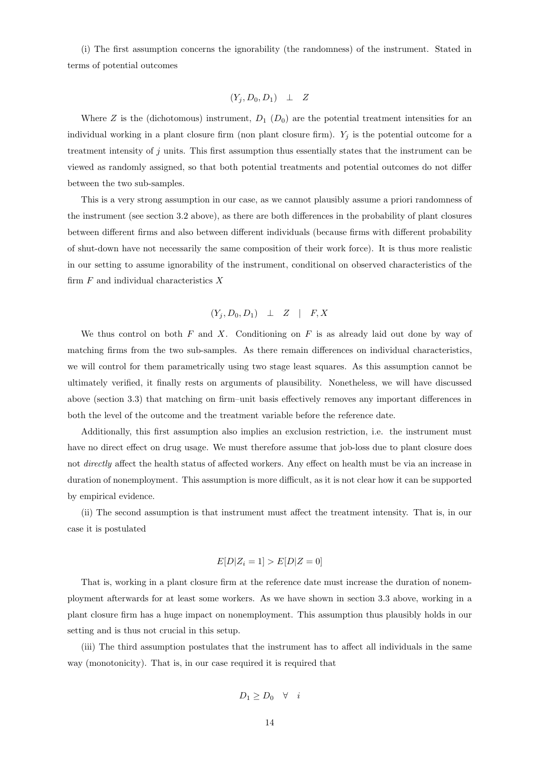(i) The first assumption concerns the ignorability (the randomness) of the instrument. Stated in terms of potential outcomes

$$
(Y_j, D_0, D_1) \perp Z
$$

Where Z is the (dichotomous) instrument,  $D_1(D_0)$  are the potential treatment intensities for an individual working in a plant closure firm (non plant closure firm).  $Y_j$  is the potential outcome for a treatment intensity of j units. This first assumption thus essentially states that the instrument can be viewed as randomly assigned, so that both potential treatments and potential outcomes do not differ between the two sub-samples.

This is a very strong assumption in our case, as we cannot plausibly assume a priori randomness of the instrument (see section 3.2 above), as there are both differences in the probability of plant closures between different firms and also between different individuals (because firms with different probability of shut-down have not necessarily the same composition of their work force). It is thus more realistic in our setting to assume ignorability of the instrument, conditional on observed characteristics of the firm  $F$  and individual characteristics  $X$ 

$$
(Y_j, D_0, D_1) \perp Z \mid F, X
$$

We thus control on both  $F$  and  $X$ . Conditioning on  $F$  is as already laid out done by way of matching firms from the two sub-samples. As there remain differences on individual characteristics, we will control for them parametrically using two stage least squares. As this assumption cannot be ultimately verified, it finally rests on arguments of plausibility. Nonetheless, we will have discussed above (section 3.3) that matching on firm–unit basis effectively removes any important differences in both the level of the outcome and the treatment variable before the reference date.

Additionally, this first assumption also implies an exclusion restriction, i.e. the instrument must have no direct effect on drug usage. We must therefore assume that job-loss due to plant closure does not directly affect the health status of affected workers. Any effect on health must be via an increase in duration of nonemployment. This assumption is more difficult, as it is not clear how it can be supported by empirical evidence.

(ii) The second assumption is that instrument must affect the treatment intensity. That is, in our case it is postulated

$$
E[D|Z_i = 1] > E[D|Z = 0]
$$

That is, working in a plant closure firm at the reference date must increase the duration of nonemployment afterwards for at least some workers. As we have shown in section 3.3 above, working in a plant closure firm has a huge impact on nonemployment. This assumption thus plausibly holds in our setting and is thus not crucial in this setup.

(iii) The third assumption postulates that the instrument has to affect all individuals in the same way (monotonicity). That is, in our case required it is required that

$$
D_1 \ge D_0 \quad \forall \quad i
$$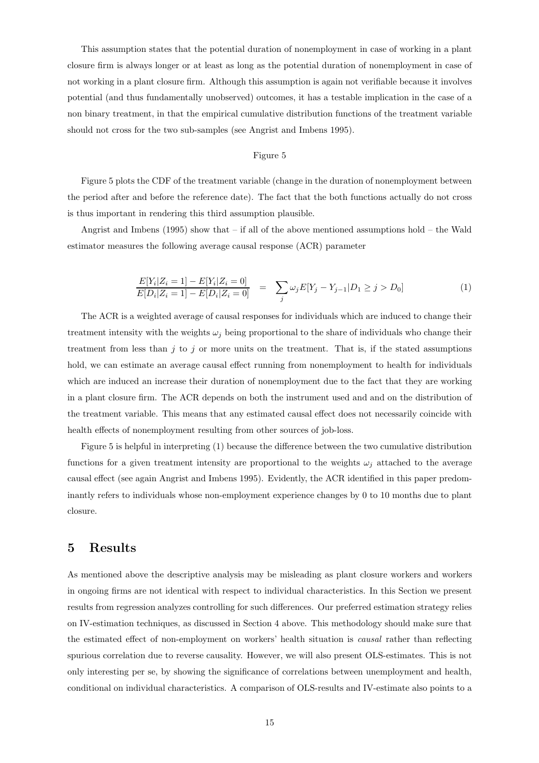This assumption states that the potential duration of nonemployment in case of working in a plant closure firm is always longer or at least as long as the potential duration of nonemployment in case of not working in a plant closure firm. Although this assumption is again not verifiable because it involves potential (and thus fundamentally unobserved) outcomes, it has a testable implication in the case of a non binary treatment, in that the empirical cumulative distribution functions of the treatment variable should not cross for the two sub-samples (see Angrist and Imbens 1995).

#### Figure 5

Figure 5 plots the CDF of the treatment variable (change in the duration of nonemployment between the period after and before the reference date). The fact that the both functions actually do not cross is thus important in rendering this third assumption plausible.

Angrist and Imbens (1995) show that – if all of the above mentioned assumptions hold – the Wald estimator measures the following average causal response (ACR) parameter

$$
\frac{E[Y_i|Z_i=1]-E[Y_i|Z_i=0]}{E[D_i|Z_i=1]-E[D_i|Z_i=0]} = \sum_j \omega_j E[Y_j-Y_{j-1}|D_1 \ge j > D_0]
$$
\n(1)

The ACR is a weighted average of causal responses for individuals which are induced to change their treatment intensity with the weights  $\omega_j$  being proportional to the share of individuals who change their treatment from less than  $j$  to  $j$  or more units on the treatment. That is, if the stated assumptions hold, we can estimate an average causal effect running from nonemployment to health for individuals which are induced an increase their duration of nonemployment due to the fact that they are working in a plant closure firm. The ACR depends on both the instrument used and and on the distribution of the treatment variable. This means that any estimated causal effect does not necessarily coincide with health effects of nonemployment resulting from other sources of job-loss.

Figure 5 is helpful in interpreting (1) because the difference between the two cumulative distribution functions for a given treatment intensity are proportional to the weights  $\omega_i$  attached to the average causal effect (see again Angrist and Imbens 1995). Evidently, the ACR identified in this paper predominantly refers to individuals whose non-employment experience changes by 0 to 10 months due to plant closure.

## 5 Results

As mentioned above the descriptive analysis may be misleading as plant closure workers and workers in ongoing firms are not identical with respect to individual characteristics. In this Section we present results from regression analyzes controlling for such differences. Our preferred estimation strategy relies on IV-estimation techniques, as discussed in Section 4 above. This methodology should make sure that the estimated effect of non-employment on workers' health situation is causal rather than reflecting spurious correlation due to reverse causality. However, we will also present OLS-estimates. This is not only interesting per se, by showing the significance of correlations between unemployment and health, conditional on individual characteristics. A comparison of OLS-results and IV-estimate also points to a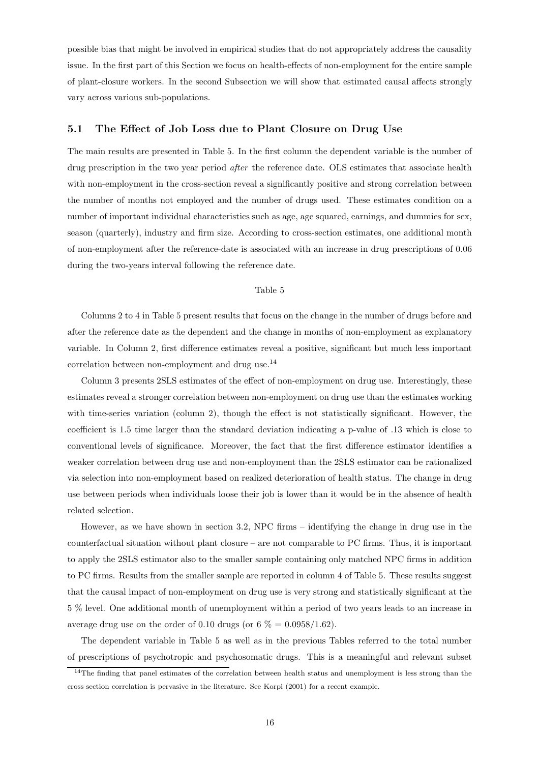possible bias that might be involved in empirical studies that do not appropriately address the causality issue. In the first part of this Section we focus on health-effects of non-employment for the entire sample of plant-closure workers. In the second Subsection we will show that estimated causal affects strongly vary across various sub-populations.

### 5.1 The Effect of Job Loss due to Plant Closure on Drug Use

The main results are presented in Table 5. In the first column the dependent variable is the number of drug prescription in the two year period *after* the reference date. OLS estimates that associate health with non-employment in the cross-section reveal a significantly positive and strong correlation between the number of months not employed and the number of drugs used. These estimates condition on a number of important individual characteristics such as age, age squared, earnings, and dummies for sex, season (quarterly), industry and firm size. According to cross-section estimates, one additional month of non-employment after the reference-date is associated with an increase in drug prescriptions of 0.06 during the two-years interval following the reference date.

#### Table 5

Columns 2 to 4 in Table 5 present results that focus on the change in the number of drugs before and after the reference date as the dependent and the change in months of non-employment as explanatory variable. In Column 2, first difference estimates reveal a positive, significant but much less important correlation between non-employment and drug use.  $^{14}$ 

Column 3 presents 2SLS estimates of the effect of non-employment on drug use. Interestingly, these estimates reveal a stronger correlation between non-employment on drug use than the estimates working with time-series variation (column 2), though the effect is not statistically significant. However, the coefficient is 1.5 time larger than the standard deviation indicating a p-value of .13 which is close to conventional levels of significance. Moreover, the fact that the first difference estimator identifies a weaker correlation between drug use and non-employment than the 2SLS estimator can be rationalized via selection into non-employment based on realized deterioration of health status. The change in drug use between periods when individuals loose their job is lower than it would be in the absence of health related selection.

However, as we have shown in section 3.2, NPC firms – identifying the change in drug use in the counterfactual situation without plant closure – are not comparable to PC firms. Thus, it is important to apply the 2SLS estimator also to the smaller sample containing only matched NPC firms in addition to PC firms. Results from the smaller sample are reported in column 4 of Table 5. These results suggest that the causal impact of non-employment on drug use is very strong and statistically significant at the 5 % level. One additional month of unemployment within a period of two years leads to an increase in average drug use on the order of 0.10 drugs (or  $6\% = 0.0958/1.62$ ).

The dependent variable in Table 5 as well as in the previous Tables referred to the total number of prescriptions of psychotropic and psychosomatic drugs. This is a meaningful and relevant subset

<sup>&</sup>lt;sup>14</sup>The finding that panel estimates of the correlation between health status and unemployment is less strong than the cross section correlation is pervasive in the literature. See Korpi (2001) for a recent example.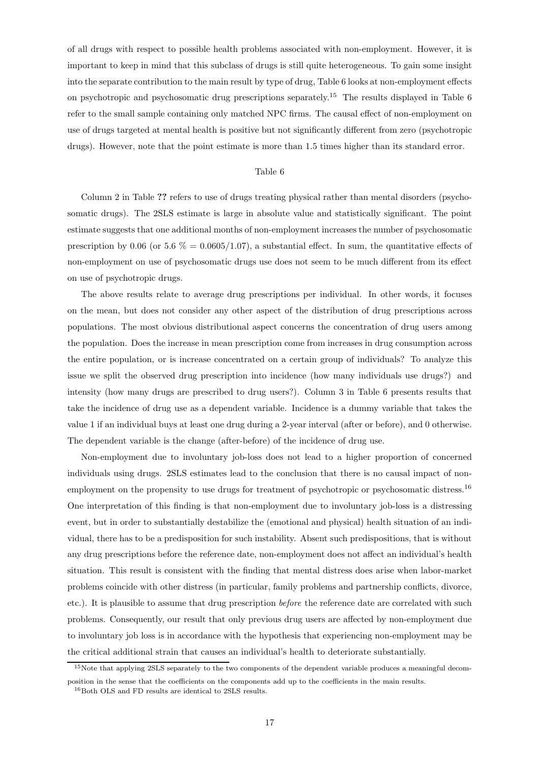of all drugs with respect to possible health problems associated with non-employment. However, it is important to keep in mind that this subclass of drugs is still quite heterogeneous. To gain some insight into the separate contribution to the main result by type of drug, Table 6 looks at non-employment effects on psychotropic and psychosomatic drug prescriptions separately.<sup>15</sup> The results displayed in Table 6 refer to the small sample containing only matched NPC firms. The causal effect of non-employment on use of drugs targeted at mental health is positive but not significantly different from zero (psychotropic drugs). However, note that the point estimate is more than 1.5 times higher than its standard error.

#### Table 6

Column 2 in Table ?? refers to use of drugs treating physical rather than mental disorders (psychosomatic drugs). The 2SLS estimate is large in absolute value and statistically significant. The point estimate suggests that one additional months of non-employment increases the number of psychosomatic prescription by 0.06 (or 5.6  $\% = 0.0605/1.07$ ), a substantial effect. In sum, the quantitative effects of non-employment on use of psychosomatic drugs use does not seem to be much different from its effect on use of psychotropic drugs.

The above results relate to average drug prescriptions per individual. In other words, it focuses on the mean, but does not consider any other aspect of the distribution of drug prescriptions across populations. The most obvious distributional aspect concerns the concentration of drug users among the population. Does the increase in mean prescription come from increases in drug consumption across the entire population, or is increase concentrated on a certain group of individuals? To analyze this issue we split the observed drug prescription into incidence (how many individuals use drugs?) and intensity (how many drugs are prescribed to drug users?). Column 3 in Table 6 presents results that take the incidence of drug use as a dependent variable. Incidence is a dummy variable that takes the value 1 if an individual buys at least one drug during a 2-year interval (after or before), and 0 otherwise. The dependent variable is the change (after-before) of the incidence of drug use.

Non-employment due to involuntary job-loss does not lead to a higher proportion of concerned individuals using drugs. 2SLS estimates lead to the conclusion that there is no causal impact of nonemployment on the propensity to use drugs for treatment of psychotropic or psychosomatic distress.<sup>16</sup> One interpretation of this finding is that non-employment due to involuntary job-loss is a distressing event, but in order to substantially destabilize the (emotional and physical) health situation of an individual, there has to be a predisposition for such instability. Absent such predispositions, that is without any drug prescriptions before the reference date, non-employment does not affect an individual's health situation. This result is consistent with the finding that mental distress does arise when labor-market problems coincide with other distress (in particular, family problems and partnership conflicts, divorce, etc.). It is plausible to assume that drug prescription before the reference date are correlated with such problems. Consequently, our result that only previous drug users are affected by non-employment due to involuntary job loss is in accordance with the hypothesis that experiencing non-employment may be the critical additional strain that causes an individual's health to deteriorate substantially.

<sup>&</sup>lt;sup>15</sup>Note that applying 2SLS separately to the two components of the dependent variable produces a meaningful decomposition in the sense that the coefficients on the components add up to the coefficients in the main results.

<sup>16</sup>Both OLS and FD results are identical to 2SLS results.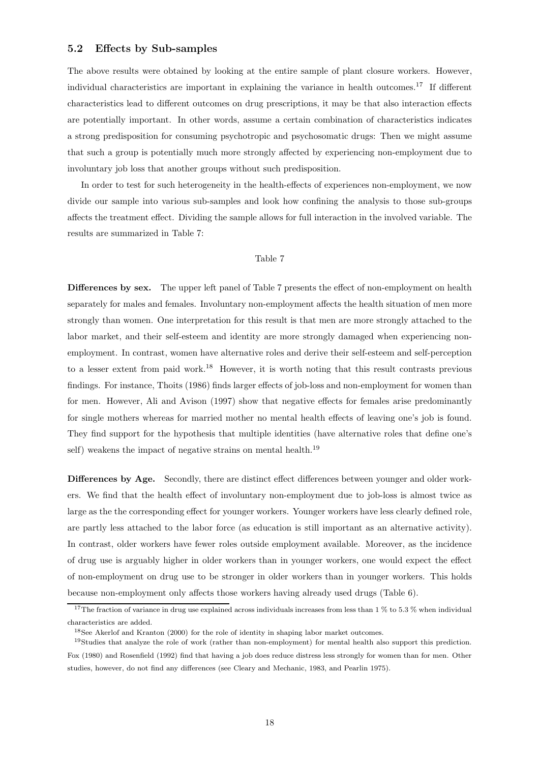### 5.2 Effects by Sub-samples

The above results were obtained by looking at the entire sample of plant closure workers. However, individual characteristics are important in explaining the variance in health outcomes.<sup>17</sup> If different characteristics lead to different outcomes on drug prescriptions, it may be that also interaction effects are potentially important. In other words, assume a certain combination of characteristics indicates a strong predisposition for consuming psychotropic and psychosomatic drugs: Then we might assume that such a group is potentially much more strongly affected by experiencing non-employment due to involuntary job loss that another groups without such predisposition.

In order to test for such heterogeneity in the health-effects of experiences non-employment, we now divide our sample into various sub-samples and look how confining the analysis to those sub-groups affects the treatment effect. Dividing the sample allows for full interaction in the involved variable. The results are summarized in Table 7:

#### Table 7

Differences by sex. The upper left panel of Table 7 presents the effect of non-employment on health separately for males and females. Involuntary non-employment affects the health situation of men more strongly than women. One interpretation for this result is that men are more strongly attached to the labor market, and their self-esteem and identity are more strongly damaged when experiencing nonemployment. In contrast, women have alternative roles and derive their self-esteem and self-perception to a lesser extent from paid work.<sup>18</sup> However, it is worth noting that this result contrasts previous findings. For instance, Thoits (1986) finds larger effects of job-loss and non-employment for women than for men. However, Ali and Avison (1997) show that negative effects for females arise predominantly for single mothers whereas for married mother no mental health effects of leaving one's job is found. They find support for the hypothesis that multiple identities (have alternative roles that define one's self) weakens the impact of negative strains on mental health.<sup>19</sup>

Differences by Age. Secondly, there are distinct effect differences between younger and older workers. We find that the health effect of involuntary non-employment due to job-loss is almost twice as large as the the corresponding effect for younger workers. Younger workers have less clearly defined role, are partly less attached to the labor force (as education is still important as an alternative activity). In contrast, older workers have fewer roles outside employment available. Moreover, as the incidence of drug use is arguably higher in older workers than in younger workers, one would expect the effect of non-employment on drug use to be stronger in older workers than in younger workers. This holds because non-employment only affects those workers having already used drugs (Table 6).

<sup>&</sup>lt;sup>17</sup>The fraction of variance in drug use explained across individuals increases from less than 1 % to 5.3 % when individual characteristics are added.

<sup>18</sup>See Akerlof and Kranton (2000) for the role of identity in shaping labor market outcomes.

<sup>19</sup>Studies that analyze the role of work (rather than non-employment) for mental health also support this prediction. Fox (1980) and Rosenfield (1992) find that having a job does reduce distress less strongly for women than for men. Other studies, however, do not find any differences (see Cleary and Mechanic, 1983, and Pearlin 1975).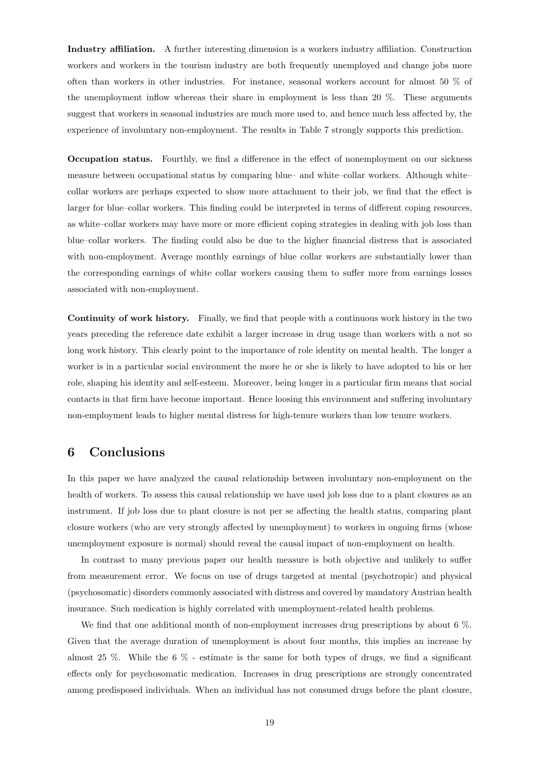Industry affiliation. A further interesting dimension is a workers industry affiliation. Construction workers and workers in the tourism industry are both frequently unemployed and change jobs more often than workers in other industries. For instance, seasonal workers account for almost 50 % of the unemployment inflow whereas their share in employment is less than 20 %. These arguments suggest that workers in seasonal industries are much more used to, and hence much less affected by, the experience of involuntary non-employment. The results in Table 7 strongly supports this prediction.

Occupation status. Fourthly, we find a difference in the effect of nonemployment on our sickness measure between occupational status by comparing blue– and white–collar workers. Although white– collar workers are perhaps expected to show more attachment to their job, we find that the effect is larger for blue–collar workers. This finding could be interpreted in terms of different coping resources, as white–collar workers may have more or more efficient coping strategies in dealing with job loss than blue–collar workers. The finding could also be due to the higher financial distress that is associated with non-employment. Average monthly earnings of blue collar workers are substantially lower than the corresponding earnings of white collar workers causing them to suffer more from earnings losses associated with non-employment.

Continuity of work history. Finally, we find that people with a continuous work history in the two years preceding the reference date exhibit a larger increase in drug usage than workers with a not so long work history. This clearly point to the importance of role identity on mental health. The longer a worker is in a particular social environment the more he or she is likely to have adopted to his or her role, shaping his identity and self-esteem. Moreover, being longer in a particular firm means that social contacts in that firm have become important. Hence loosing this environment and suffering involuntary non-employment leads to higher mental distress for high-tenure workers than low tenure workers.

# 6 Conclusions

In this paper we have analyzed the causal relationship between involuntary non-employment on the health of workers. To assess this causal relationship we have used job loss due to a plant closures as an instrument. If job loss due to plant closure is not per se affecting the health status, comparing plant closure workers (who are very strongly affected by unemployment) to workers in ongoing firms (whose unemployment exposure is normal) should reveal the causal impact of non-employment on health.

In contrast to many previous paper our health measure is both objective and unlikely to suffer from measurement error. We focus on use of drugs targeted at mental (psychotropic) and physical (psychosomatic) disorders commonly associated with distress and covered by mandatory Austrian health insurance. Such medication is highly correlated with unemployment-related health problems.

We find that one additional month of non-employment increases drug prescriptions by about 6 %. Given that the average duration of unemployment is about four months, this implies an increase by almost 25 %. While the 6 % - estimate is the same for both types of drugs, we find a significant effects only for psychosomatic medication. Increases in drug prescriptions are strongly concentrated among predisposed individuals. When an individual has not consumed drugs before the plant closure,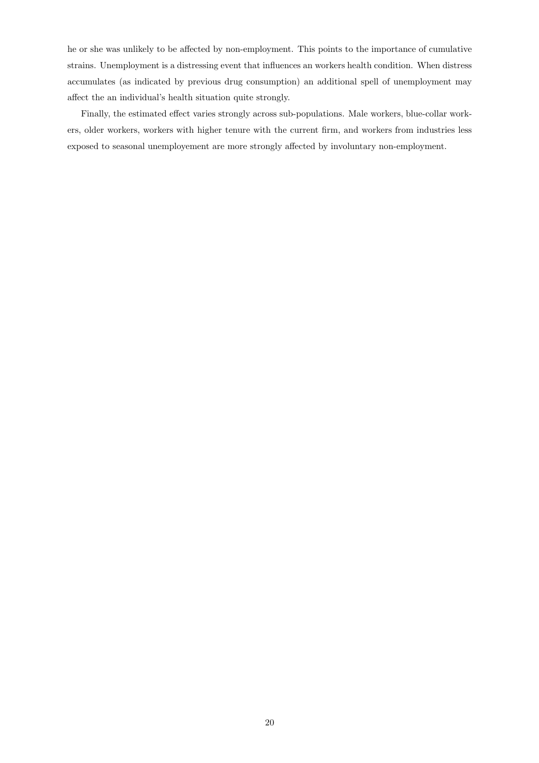he or she was unlikely to be affected by non-employment. This points to the importance of cumulative strains. Unemployment is a distressing event that influences an workers health condition. When distress accumulates (as indicated by previous drug consumption) an additional spell of unemployment may affect the an individual's health situation quite strongly.

Finally, the estimated effect varies strongly across sub-populations. Male workers, blue-collar workers, older workers, workers with higher tenure with the current firm, and workers from industries less exposed to seasonal unemployement are more strongly affected by involuntary non-employment.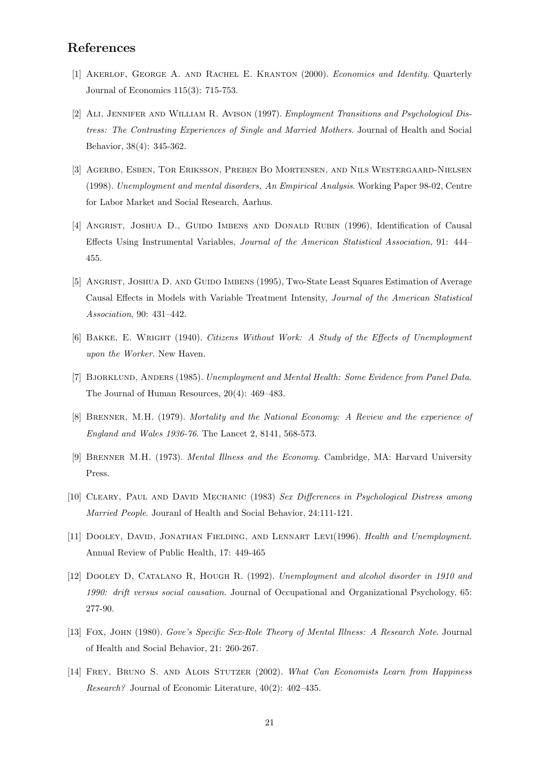# References

- [1] AKERLOF, GEORGE A. AND RACHEL E. KRANTON (2000). *Economics and Identity*. Quarterly Journal of Economics 115(3): 715-753.
- [2] ALI, JENNIFER AND WILLIAM R. AVISON (1997). *Employment Transitions and Psychological Dis*tress: The Contrasting Experiences of Single and Married Mothers. Journal of Health and Social Behavior, 38(4): 345-362.
- [3] Agerbo, Esben, Tor Eriksson, Preben Bo Mortensen, and Nils Westergaard-Nielsen (1998). Unemployment and mental disorders, An Empirical Analysis. Working Paper 98-02, Centre for Labor Market and Social Research, Aarhus.
- [4] Angrist, Joshua D., Guido Imbens and Donald Rubin (1996), Identification of Causal Effects Using Instrumental Variables, Journal of the American Statistical Association, 91: 444– 455.
- [5] ANGRIST, JOSHUA D. AND GUIDO IMBENS (1995), Two-State Least Squares Estimation of Average Causal Effects in Models with Variable Treatment Intensity, Journal of the American Statistical Association, 90: 431–442.
- [6] BAKKE, E. WRIGHT (1940). Citizens Without Work: A Study of the Effects of Unemployment upon the Worker. New Haven.
- [7] BJORKLUND, ANDERS (1985). Unemployment and Mental Health: Some Evidence from Panel Data. The Journal of Human Resources, 20(4): 469–483.
- [8] BRENNER, M.H. (1979). Mortality and the National Economy: A Review and the experience of England and Wales 1936-76. The Lancet 2, 8141, 568-573.
- [9] Brenner M.H. (1973). Mental Illness and the Economy. Cambridge, MA: Harvard University Press.
- [10] CLEARY, PAUL AND DAVID MECHANIC (1983) Sex Differences in Psychological Distress among Married People. Jouranl of Health and Social Behavior, 24:111-121.
- [11] DOOLEY, DAVID, JONATHAN FIELDING, AND LENNART LEVI(1996). Health and Unemployment. Annual Review of Public Health, 17: 449-465
- [12] DOOLEY D, CATALANO R, HOUGH R. (1992). Unemployment and alcohol disorder in 1910 and 1990: drift versus social causation. Journal of Occupational and Organizational Psychology, 65: 277-90.
- [13] Fox, John (1980). Gove's Specific Sex-Role Theory of Mental Illness: A Research Note. Journal of Health and Social Behavior, 21: 260-267.
- [14] FREY, BRUNO S. AND ALOIS STUTZER (2002). What Can Economists Learn from Happiness Research? Journal of Economic Literature, 40(2): 402–435.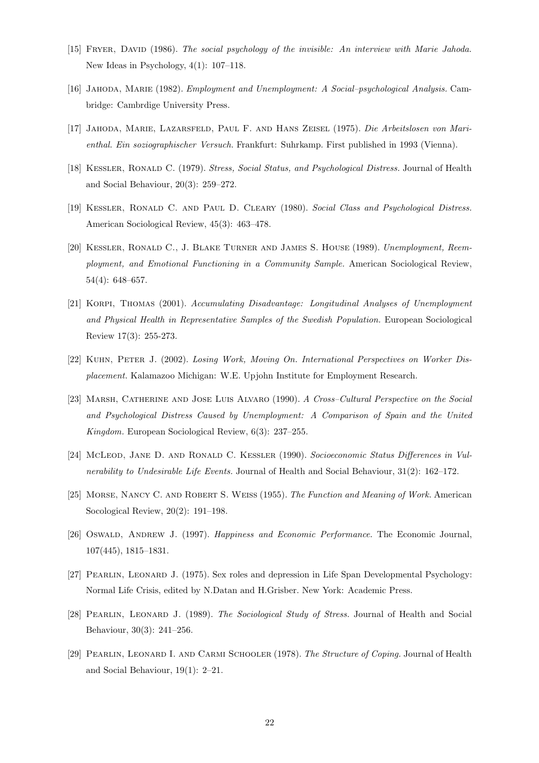- [15] Fryer, David (1986). The social psychology of the invisible: An interview with Marie Jahoda. New Ideas in Psychology, 4(1): 107–118.
- [16] Jahoda, Marie (1982). Employment and Unemployment: A Social–psychological Analysis. Cambridge: Cambrdige University Press.
- [17] Jahoda, Marie, Lazarsfeld, Paul F. and Hans Zeisel (1975). Die Arbeitslosen von Marienthal. Ein soziographischer Versuch. Frankfurt: Suhrkamp. First published in 1993 (Vienna).
- [18] KESSLER, RONALD C. (1979). Stress, Social Status, and Psychological Distress. Journal of Health and Social Behaviour, 20(3): 259–272.
- [19] KESSLER, RONALD C. AND PAUL D. CLEARY (1980). Social Class and Psychological Distress. American Sociological Review, 45(3): 463–478.
- [20] Kessler, Ronald C., J. Blake Turner and James S. House (1989). Unemployment, Reemployment, and Emotional Functioning in a Community Sample. American Sociological Review, 54(4): 648–657.
- [21] Korpi, Thomas (2001). Accumulating Disadvantage: Longitudinal Analyses of Unemployment and Physical Health in Representative Samples of the Swedish Population. European Sociological Review 17(3): 255-273.
- [22] KUHN, PETER J. (2002). Losing Work, Moving On. International Perspectives on Worker Displacement. Kalamazoo Michigan: W.E. Upjohn Institute for Employment Research.
- [23] MARSH, CATHERINE AND JOSE LUIS ALVARO (1990). A Cross–Cultural Perspective on the Social and Psychological Distress Caused by Unemployment: A Comparison of Spain and the United Kingdom. European Sociological Review, 6(3): 237–255.
- [24] McLeod, Jane D. and Ronald C. Kessler (1990). Socioeconomic Status Differences in Vulnerability to Undesirable Life Events. Journal of Health and Social Behaviour, 31(2): 162–172.
- [25] Morse, Nancy C. and Robert S. Weiss (1955). The Function and Meaning of Work. American Socological Review, 20(2): 191–198.
- [26] OSWALD, ANDREW J. (1997). Happiness and Economic Performance. The Economic Journal, 107(445), 1815–1831.
- [27] PEARLIN, LEONARD J. (1975). Sex roles and depression in Life Span Developmental Psychology: Normal Life Crisis, edited by N.Datan and H.Grisber. New York: Academic Press.
- [28] PEARLIN, LEONARD J. (1989). The Sociological Study of Stress. Journal of Health and Social Behaviour, 30(3): 241–256.
- [29] PEARLIN, LEONARD I. AND CARMI SCHOOLER (1978). The Structure of Coping. Journal of Health and Social Behaviour, 19(1): 2–21.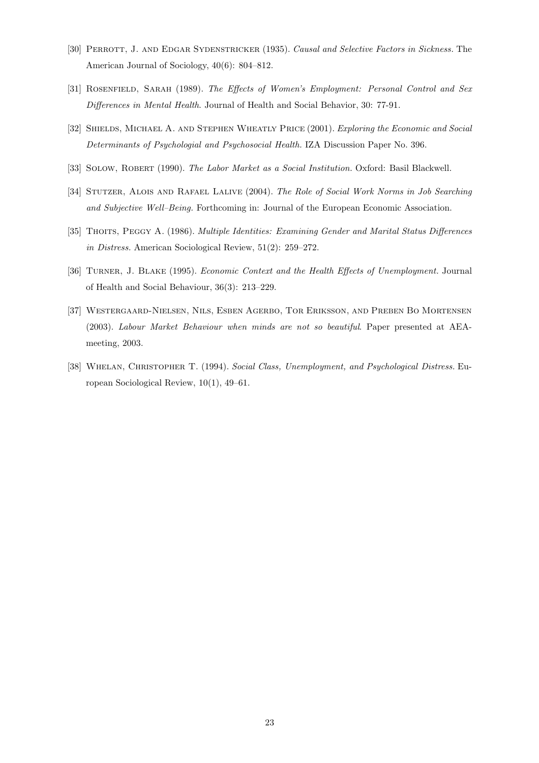- [30] PERROTT, J. AND EDGAR SYDENSTRICKER (1935). Causal and Selective Factors in Sickness. The American Journal of Sociology, 40(6): 804–812.
- [31] ROSENFIELD, SARAH (1989). The Effects of Women's Employment: Personal Control and Sex Differences in Mental Health. Journal of Health and Social Behavior, 30: 77-91.
- [32] SHIELDS, MICHAEL A. AND STEPHEN WHEATLY PRICE (2001). Exploring the Economic and Social Determinants of Psychologial and Psychosocial Health. IZA Discussion Paper No. 396.
- [33] SOLOW, ROBERT (1990). The Labor Market as a Social Institution. Oxford: Basil Blackwell.
- [34] STUTZER, ALOIS AND RAFAEL LALIVE (2004). The Role of Social Work Norms in Job Searching and Subjective Well–Being. Forthcoming in: Journal of the European Economic Association.
- [35] THOITS, PEGGY A. (1986). Multiple Identities: Examining Gender and Marital Status Differences in Distress. American Sociological Review, 51(2): 259–272.
- [36] Turner, J. Blake (1995). Economic Context and the Health Effects of Unemployment. Journal of Health and Social Behaviour, 36(3): 213–229.
- [37] Westergaard-Nielsen, Nils, Esben Agerbo, Tor Eriksson, and Preben Bo Mortensen (2003). Labour Market Behaviour when minds are not so beautiful. Paper presented at AEAmeeting, 2003.
- [38] WHELAN, CHRISTOPHER T. (1994). Social Class, Unemployment, and Psychological Distress. European Sociological Review, 10(1), 49–61.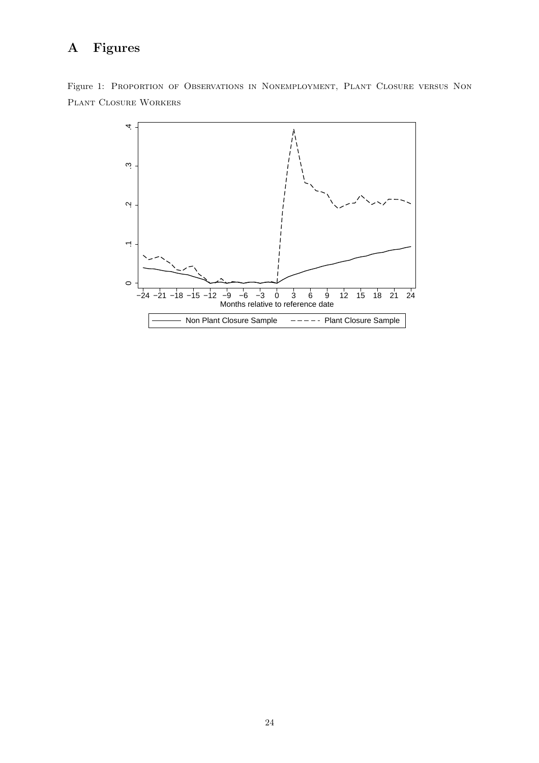# A Figures

Figure 1: Proportion of Observations in Nonemployment, Plant Closure versus Non Plant Closure Workers

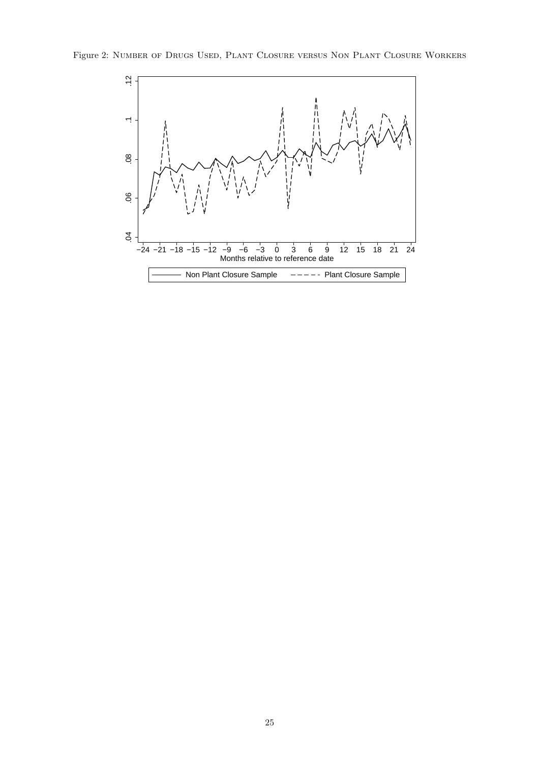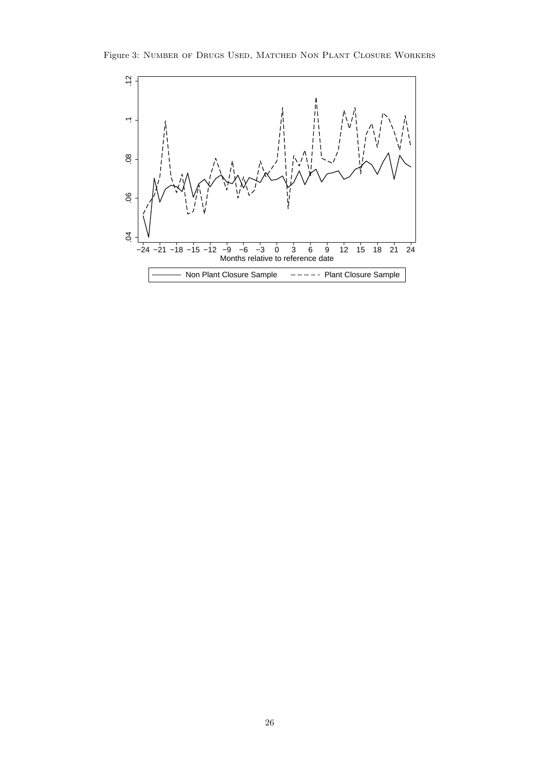Figure 3: Number of Drugs Used, Matched Non Plant Closure Workers

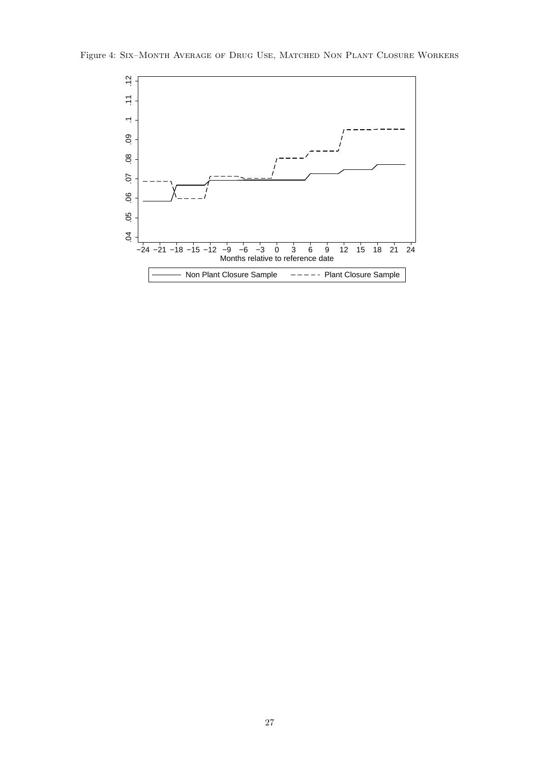

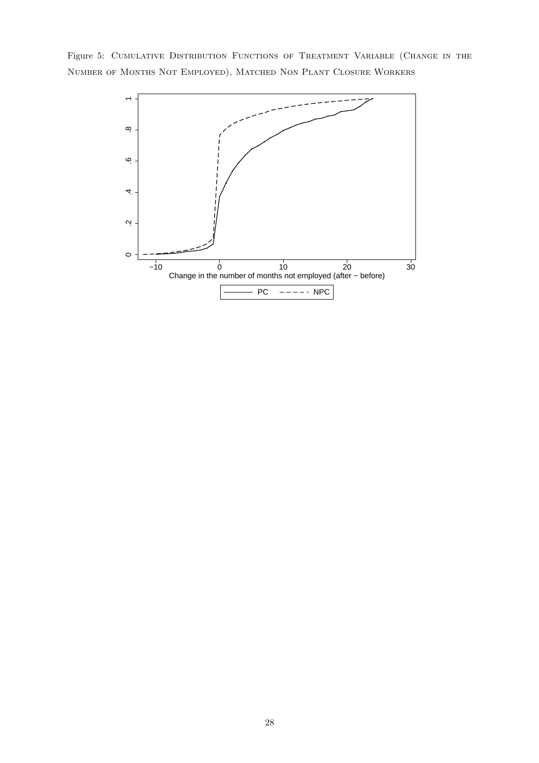Figure 5: CUMULATIVE DISTRIBUTION FUNCTIONS OF TREATMENT VARIABLE (CHANGE IN THE Number of Months Not Employed), Matched Non Plant Closure Workers

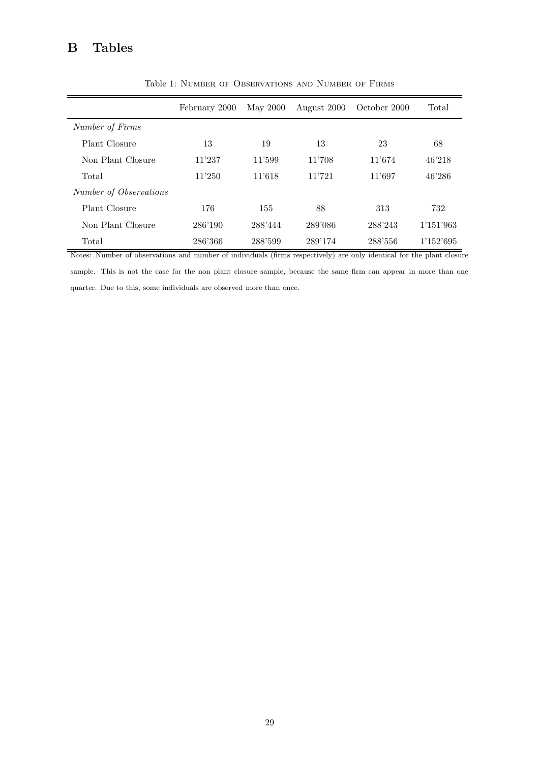# B Tables

|                        | February 2000 | May 2000 | August 2000 | October 2000 | Total     |
|------------------------|---------------|----------|-------------|--------------|-----------|
| Number of Firms        |               |          |             |              |           |
| Plant Closure          | 13            | 19       | 13          | 23           | 68        |
| Non Plant Closure      | 11'237        | 11'599   | 11'708      | 11'674       | 46'218    |
| Total                  | 11'250        | 11'618   | 11'721      | 11'697       | 46'286    |
| Number of Observations |               |          |             |              |           |
| Plant Closure          | 176           | 155      | 88          | 313          | 732       |
| Non Plant Closure      | 286'190       | 288'444  | 289'086     | 288'243      | 1'151'963 |
| Total                  | 286'366       | 288'599  | 289'174     | 288'556      | 1'152'695 |

Table 1: Number of Observations and Number of Firms

Notes: Number of observations and number of individuals (firms respectively) are only identical for the plant closure sample. This is not the case for the non plant closure sample, because the same firm can appear in more than one quarter. Due to this, some individuals are observed more than once.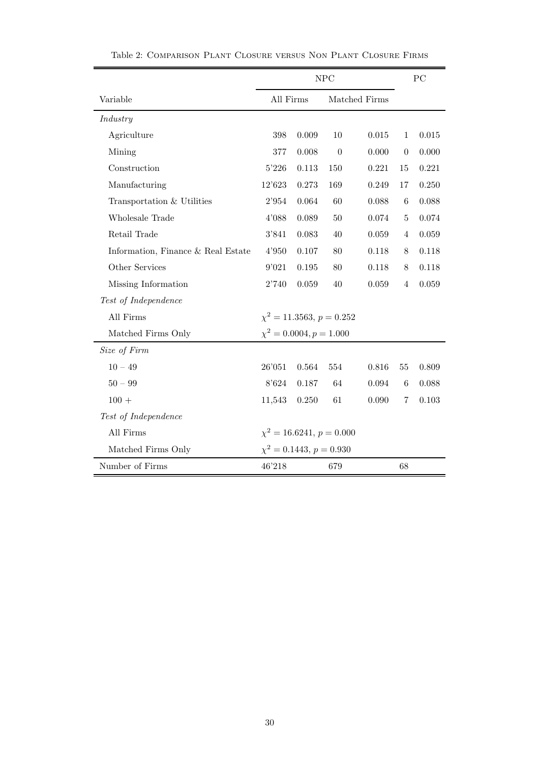|                                    | NPC                           |                              |                  |       |                | PC    |
|------------------------------------|-------------------------------|------------------------------|------------------|-------|----------------|-------|
| Variable                           | All Firms                     |                              | Matched Firms    |       |                |       |
| Industry                           |                               |                              |                  |       |                |       |
| Agriculture                        | 398                           | 0.009                        | 10               | 0.015 | $\mathbf{1}$   | 0.015 |
| Mining                             | 377                           | 0.008                        | $\boldsymbol{0}$ | 0.000 | $\theta$       | 0.000 |
| Construction                       | 5'226                         | 0.113                        | 150              | 0.221 | 15             | 0.221 |
| Manufacturing                      | 12'623                        | 0.273                        | 169              | 0.249 | 17             | 0.250 |
| Transportation & Utilities         | 2'954                         | 0.064                        | 60               | 0.088 | 6              | 0.088 |
| Wholesale Trade                    | 4'088                         | 0.089                        | 50               | 0.074 | 5              | 0.074 |
| Retail Trade                       | 3'841                         | 0.083                        | 40               | 0.059 | $\overline{4}$ | 0.059 |
| Information, Finance & Real Estate | 4'950                         | 0.107                        | 80               | 0.118 | 8              | 0.118 |
| Other Services                     | 9'021                         | 0.195                        | 80               | 0.118 | 8              | 0.118 |
| Missing Information                | 2'740                         | 0.059                        | 40               | 0.059 | $\overline{4}$ | 0.059 |
| Test of Independence               |                               |                              |                  |       |                |       |
| All Firms                          | $\chi^2 = 11.3563, p = 0.252$ |                              |                  |       |                |       |
| Matched Firms Only                 |                               | $\chi^2 = 0.0004, p = 1.000$ |                  |       |                |       |
| Size of Firm                       |                               |                              |                  |       |                |       |
| $10 - 49$                          | 26'051                        | 0.564                        | 554              | 0.816 | 55             | 0.809 |
| $50 - 99$                          | 8'624                         | 0.187                        | 64               | 0.094 | 6              | 0.088 |
| $100 +$                            | 11,543                        | 0.250                        | 61               | 0.090 | 7              | 0.103 |
| Test of Independence               |                               |                              |                  |       |                |       |
| All Firms                          | $\chi^2 = 16.6241, p = 0.000$ |                              |                  |       |                |       |
| Matched Firms Only                 | $\chi^2 = 0.1443, p = 0.930$  |                              |                  |       |                |       |
| Number of Firms                    | 46'218<br>679<br>68           |                              |                  |       |                |       |

Table 2: Comparison Plant Closure versus Non Plant Closure Firms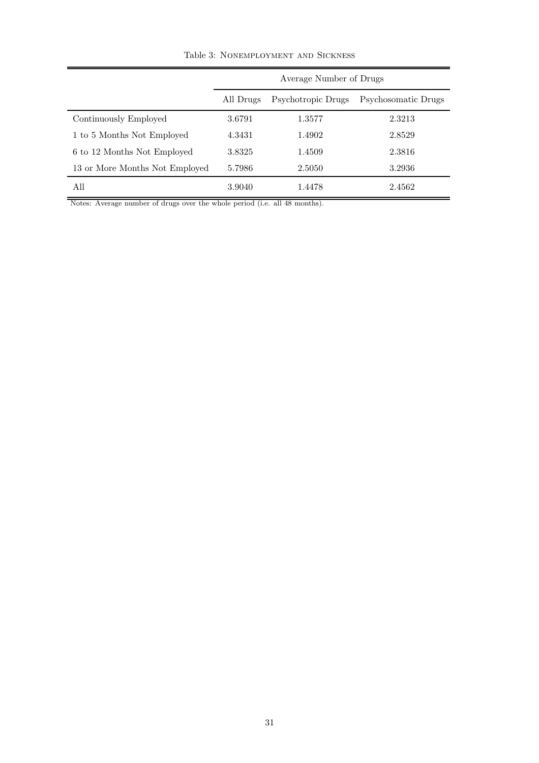|                                | Average Number of Drugs<br>Psychotropic Drugs<br>Psychosomatic Drugs<br>All Drugs |        |        |  |
|--------------------------------|-----------------------------------------------------------------------------------|--------|--------|--|
|                                |                                                                                   |        |        |  |
| Continuously Employed          | 3.6791                                                                            | 1.3577 | 2.3213 |  |
| 1 to 5 Months Not Employed     | 4.3431                                                                            | 1.4902 | 2.8529 |  |
| 6 to 12 Months Not Employed    | 3.8325                                                                            | 1.4509 | 2.3816 |  |
| 13 or More Months Not Employed | 5.7986                                                                            | 2.5050 | 3.2936 |  |
| All                            | 3.9040                                                                            | 1.4478 | 2.4562 |  |

Table 3: Nonemployment and Sickness

Notes: Average number of drugs over the whole period (i.e. all 48 months).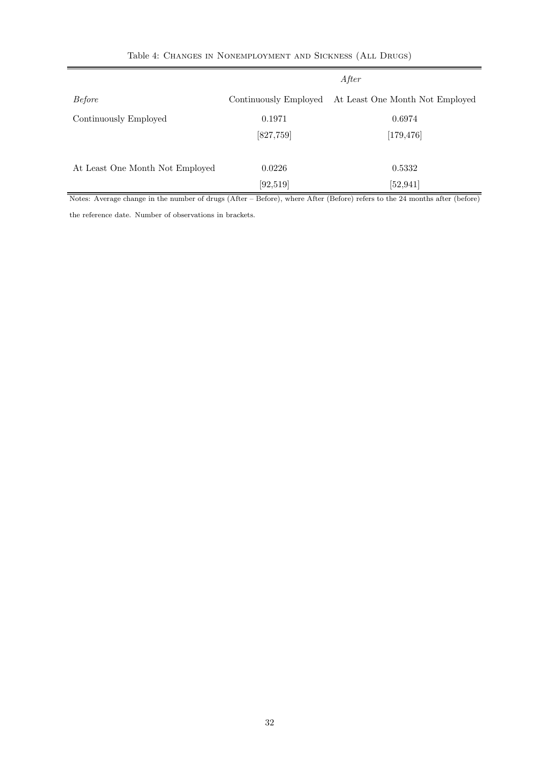| Table 4: CHANGES IN NONEMPLOYMENT AND SICKNESS (ALL DRUGS) |  |  |
|------------------------------------------------------------|--|--|
|------------------------------------------------------------|--|--|

|                                 | After                 |                                 |  |
|---------------------------------|-----------------------|---------------------------------|--|
| <b>Before</b>                   | Continuously Employed | At Least One Month Not Employed |  |
| Continuously Employed           | 0.1971                | 0.6974                          |  |
|                                 | [827, 759]            | [179, 476]                      |  |
|                                 |                       |                                 |  |
| At Least One Month Not Employed | 0.0226                | 0.5332                          |  |
|                                 | [92, 519]             | [52, 941]                       |  |

Notes: Average change in the number of drugs (After – Before), where After (Before) refers to the 24 months after (before)

the reference date. Number of observations in brackets.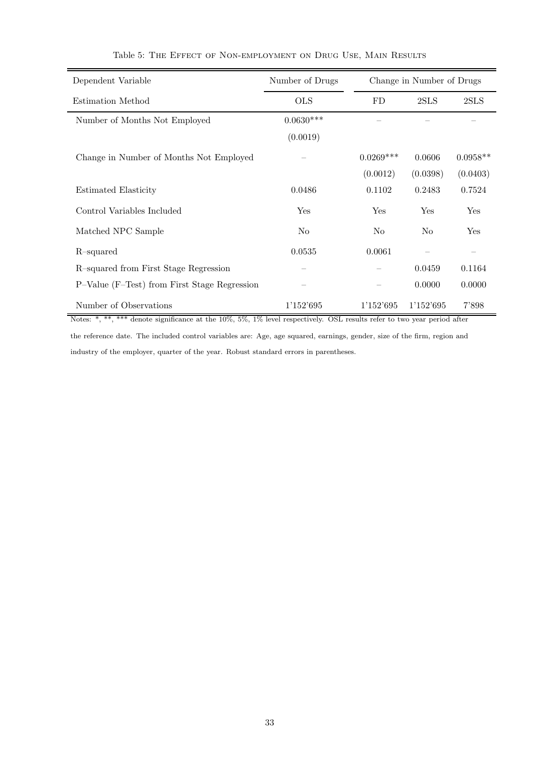| Dependent Variable                           | Number of Drugs |             | Change in Number of Drugs |            |  |  |
|----------------------------------------------|-----------------|-------------|---------------------------|------------|--|--|
| Estimation Method                            | <b>OLS</b>      | FD          | 2SLS                      | 2SLS       |  |  |
| Number of Months Not Employed                | $0.0630***$     |             |                           |            |  |  |
|                                              | (0.0019)        |             |                           |            |  |  |
| Change in Number of Months Not Employed      |                 | $0.0269***$ | 0.0606                    | $0.0958**$ |  |  |
|                                              |                 | (0.0012)    | (0.0398)                  | (0.0403)   |  |  |
| Estimated Elasticity                         | 0.0486          | 0.1102      | 0.2483                    | 0.7524     |  |  |
| Control Variables Included                   | Yes             | Yes         | Yes                       | Yes        |  |  |
| Matched NPC Sample                           | N <sub>o</sub>  | No          | N <sub>0</sub>            | Yes        |  |  |
| R-squared                                    | 0.0535          | 0.0061      |                           |            |  |  |
| R-squared from First Stage Regression        |                 |             | 0.0459                    | 0.1164     |  |  |
| P-Value (F-Test) from First Stage Regression |                 |             | 0.0000                    | 0.0000     |  |  |
| Number of Observations                       | 1'152'695       | 1'152'695   | 1'152'695                 | 7'898      |  |  |

## Table 5: The Effect of Non-employment on Drug Use, Main Results

Notes: \*, \*\*, \*\*\* denote significance at the 10%, 5%, 1% level respectively. OSL results refer to two year period after the reference date. The included control variables are: Age, age squared, earnings, gender, size of the firm, region and industry of the employer, quarter of the year. Robust standard errors in parentheses.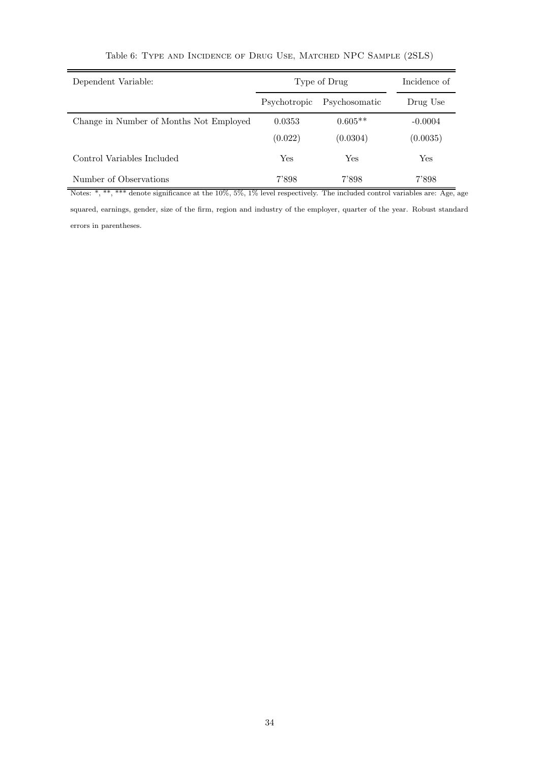| Type of Drug |               | Incidence of |  |
|--------------|---------------|--------------|--|
| Psychotropic | Psychosomatic | Drug Use     |  |
| 0.0353       | $0.605**$     | $-0.0004$    |  |
| (0.022)      | (0.0304)      | (0.0035)     |  |
| Yes          | $_{\rm Yes}$  | Yes          |  |
| 7'898        | 7'898         | 7'898        |  |
|              |               |              |  |

| Table 6: TYPE AND INCIDENCE OF DRUG USE, MATCHED NPC SAMPLE (2SLS) |  |  |  |
|--------------------------------------------------------------------|--|--|--|
|                                                                    |  |  |  |

squared, earnings, gender, size of the firm, region and industry of the employer, quarter of the year. Robust standard

errors in parentheses.